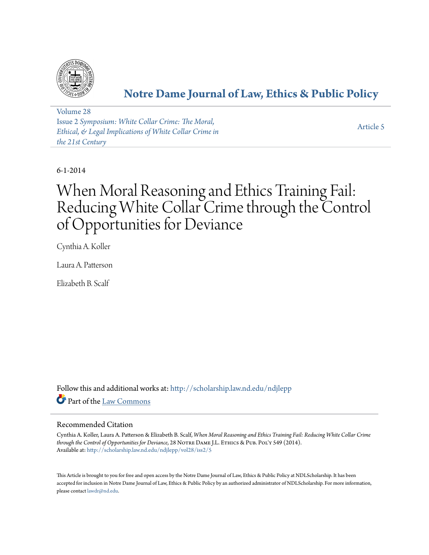

# **[Notre Dame Journal of Law, Ethics & Public Policy](http://scholarship.law.nd.edu/ndjlepp?utm_source=scholarship.law.nd.edu%2Fndjlepp%2Fvol28%2Fiss2%2F5&utm_medium=PDF&utm_campaign=PDFCoverPages)**

[Volume 28](http://scholarship.law.nd.edu/ndjlepp/vol28?utm_source=scholarship.law.nd.edu%2Fndjlepp%2Fvol28%2Fiss2%2F5&utm_medium=PDF&utm_campaign=PDFCoverPages) Issue 2 *[Symposium: White Collar Crime: The Moral,](http://scholarship.law.nd.edu/ndjlepp/vol28/iss2?utm_source=scholarship.law.nd.edu%2Fndjlepp%2Fvol28%2Fiss2%2F5&utm_medium=PDF&utm_campaign=PDFCoverPages) [Ethical, & Legal Implications of White Collar Crime in](http://scholarship.law.nd.edu/ndjlepp/vol28/iss2?utm_source=scholarship.law.nd.edu%2Fndjlepp%2Fvol28%2Fiss2%2F5&utm_medium=PDF&utm_campaign=PDFCoverPages) [the 21st Century](http://scholarship.law.nd.edu/ndjlepp/vol28/iss2?utm_source=scholarship.law.nd.edu%2Fndjlepp%2Fvol28%2Fiss2%2F5&utm_medium=PDF&utm_campaign=PDFCoverPages)*

[Article 5](http://scholarship.law.nd.edu/ndjlepp/vol28/iss2/5?utm_source=scholarship.law.nd.edu%2Fndjlepp%2Fvol28%2Fiss2%2F5&utm_medium=PDF&utm_campaign=PDFCoverPages)

6-1-2014

# When Moral Reasoning and Ethics Training Fail: Reducing White Collar Crime through the Control of Opportunities for Deviance

Cynthia A. Koller

Laura A. Patterson

Elizabeth B. Scalf

Follow this and additional works at: [http://scholarship.law.nd.edu/ndjlepp](http://scholarship.law.nd.edu/ndjlepp?utm_source=scholarship.law.nd.edu%2Fndjlepp%2Fvol28%2Fiss2%2F5&utm_medium=PDF&utm_campaign=PDFCoverPages) Part of the [Law Commons](http://network.bepress.com/hgg/discipline/578?utm_source=scholarship.law.nd.edu%2Fndjlepp%2Fvol28%2Fiss2%2F5&utm_medium=PDF&utm_campaign=PDFCoverPages)

### Recommended Citation

Cynthia A. Koller, Laura A. Patterson & Elizabeth B. Scalf, *When Moral Reasoning and Ethics Training Fail: Reducing White Collar Crime through the Control of Opportunities for Deviance*, 28 NOTRE DAME J.L. ETHICS & PUB. POL'Y 549 (2014). Available at: [http://scholarship.law.nd.edu/ndjlepp/vol28/iss2/5](http://scholarship.law.nd.edu/ndjlepp/vol28/iss2/5?utm_source=scholarship.law.nd.edu%2Fndjlepp%2Fvol28%2Fiss2%2F5&utm_medium=PDF&utm_campaign=PDFCoverPages)

This Article is brought to you for free and open access by the Notre Dame Journal of Law, Ethics & Public Policy at NDLScholarship. It has been accepted for inclusion in Notre Dame Journal of Law, Ethics & Public Policy by an authorized administrator of NDLScholarship. For more information, please contact [lawdr@nd.edu](mailto:lawdr@nd.edu).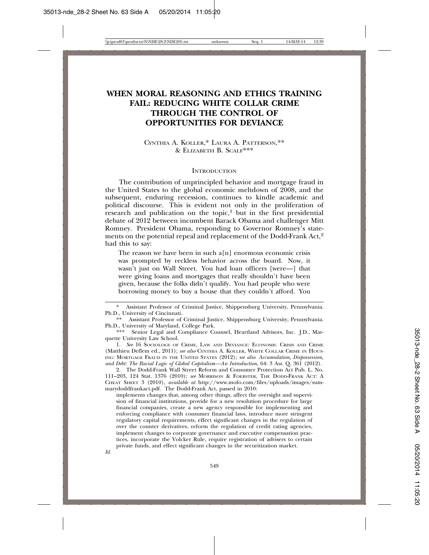## **WHEN MORAL REASONING AND ETHICS TRAINING FAIL: REDUCING WHITE COLLAR CRIME THROUGH THE CONTROL OF OPPORTUNITIES FOR DEVIANCE**

CYNTHIA A. KOLLER,\* LAURA A. PATTERSON,\*\* & ELIZABETH B. SCALF\*\*\*

#### **INTRODUCTION**

The contribution of unprincipled behavior and mortgage fraud in the United States to the global economic meltdown of 2008, and the subsequent, enduring recession, continues to kindle academic and political discourse. This is evident not only in the proliferation of research and publication on the topic, $1$  but in the first presidential debate of 2012 between incumbent Barack Obama and challenger Mitt Romney. President Obama, responding to Governor Romney's statements on the potential repeal and replacement of the Dodd-Frank Act,<sup>2</sup> had this to say:

The reason we have been in such  $a[n]$  enormous economic crisis was prompted by reckless behavior across the board. Now, it wasn't just on Wall Street. You had loan officers [were—] that were giving loans and mortgages that really shouldn't have been given, because the folks didn't qualify. You had people who were borrowing money to buy a house that they couldn't afford. You

*Id.*

<sup>\*</sup> Assistant Professor of Criminal Justice, Shippensburg University, Pennsylvania. Ph.D., University of Cincinnati.

<sup>\*\*</sup> Assistant Professor of Criminal Justice, Shippensburg University, Pennsylvania. Ph.D., University of Maryland, College Park.

<sup>\*\*\*</sup> Senior Legal and Compliance Counsel, Heartland Advisors, Inc. J.D., Marquette University Law School.

<sup>1.</sup> *See* 16 SOCIOLOGY OF CRIME, LAW AND DEVIANCE: ECONOMIC CRISIS AND CRIME (Matthieu Deflem ed., 2011); *see also* CYNTHIA A. KOLLER, WHITE COLLAR CRIME IN HOUS-ING: MORTGAGE FRAUD IN THE UNITED STATES (2012); *see also Accumulation, Dispossession, and Debt: The Racial Logic of Global Capitalism—An Introduction*, 64: 3 AM. Q. 361 (2012).

<sup>2.</sup> The Dodd-Frank Wall Street Reform and Consumer Protection Act Pub. L. No. 111–203, 124 Stat. 1376 (2010); *see* MORRISON & FOERSTER, THE DODD-FRANK ACT: A CHEAT SHEET 3 (2010), *available at* http://www.mofo.com/files/uploads/images/summarydoddfrankact.pdf. The Dodd-Frank Act, passed in 2010:

implements changes that, among other things, affect the oversight and supervision of financial institutions, provide for a new resolution procedure for large financial companies, create a new agency responsible for implementing and enforcing compliance with consumer financial laws, introduce more stringent regulatory capital requirements, effect significant changes in the regulation of over the counter derivatives, reform the regulation of credit rating agencies, implement changes to corporate governance and executive compensation practices, incorporate the Volcker Rule, require registration of advisers to certain private funds, and effect significant changes in the securitization market.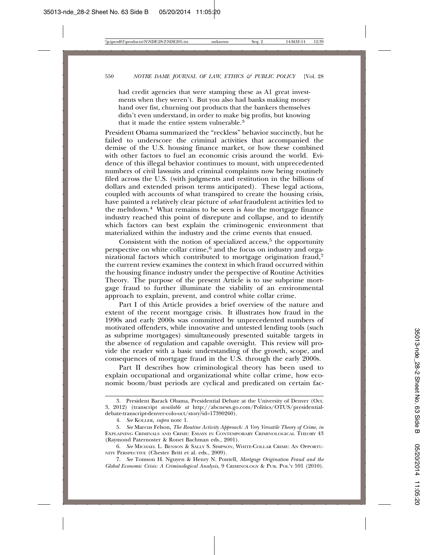had credit agencies that were stamping these as A1 great investments when they weren't. But you also had banks making money hand over fist, churning out products that the bankers themselves didn't even understand, in order to make big profits, but knowing that it made the entire system vulnerable.<sup>3</sup>

President Obama summarized the "reckless" behavior succinctly, but he failed to underscore the criminal activities that accompanied the demise of the U.S. housing finance market, or how these combined with other factors to fuel an economic crisis around the world. Evidence of this illegal behavior continues to mount, with unprecedented numbers of civil lawsuits and criminal complaints now being routinely filed across the U.S. (with judgments and restitution in the billions of dollars and extended prison terms anticipated). These legal actions, coupled with accounts of what transpired to create the housing crisis, have painted a relatively clear picture of *what* fraudulent activities led to the meltdown.4 What remains to be seen is *how* the mortgage finance industry reached this point of disrepute and collapse, and to identify which factors can best explain the criminogenic environment that materialized within the industry and the crime events that ensued.

Consistent with the notion of specialized access, $5$  the opportunity perspective on white collar crime,<sup>6</sup> and the focus on industry and organizational factors which contributed to mortgage origination fraud,7 the current review examines the context in which fraud occurred within the housing finance industry under the perspective of Routine Activities Theory. The purpose of the present Article is to use subprime mortgage fraud to further illuminate the viability of an environmental approach to explain, prevent, and control white collar crime.

Part I of this Article provides a brief overview of the nature and extent of the recent mortgage crisis. It illustrates how fraud in the 1990s and early 2000s was committed by unprecedented numbers of motivated offenders, while innovative and untested lending tools (such as subprime mortgages) simultaneously presented suitable targets in the absence of regulation and capable oversight. This review will provide the reader with a basic understanding of the growth, scope, and consequences of mortgage fraud in the U.S. through the early 2000s.

Part II describes how criminological theory has been used to explain occupational and organizational white collar crime, how economic boom/bust periods are cyclical and predicated on certain fac-

<sup>3.</sup> President Barack Obama, Presidential Debate at the University of Denver (Oct. 3, 2012) (transcript *available at* http://abcnews.go.com/Politics/OTUS/presidentialdebate-transcript-denver-colo-oct/story?id=17390260).

<sup>4.</sup> *See* KOLLER, *supra* note 1.

<sup>5.</sup> *See* Marcus Felson, *The Routine Activity Approach: A Very Versatile Theory of Crime*, *in* EXPLAINING CRIMINALS AND CRIME: ESSAYS IN CONTEMPORARY CRIMINOLOGICAL THEORY 43 (Raymond Paternoster & Ronet Bachman eds., 2001).

<sup>6.</sup> *See* MICHAEL L. BENSON & SALLY S. SIMPSON, WHITE-COLLAR CRIME: AN OPPORTU-NITY PERSPECTIVE (Chester Britt et al. eds., 2009).

<sup>7.</sup> *See* Tomson H. Nguyen & Henry N. Pontell, *Mortgage Origination Fraud and the Global Economic Crisis: A Criminological Analysis*, 9 CRIMINOLOGY & PUB. POL'Y 591 (2010).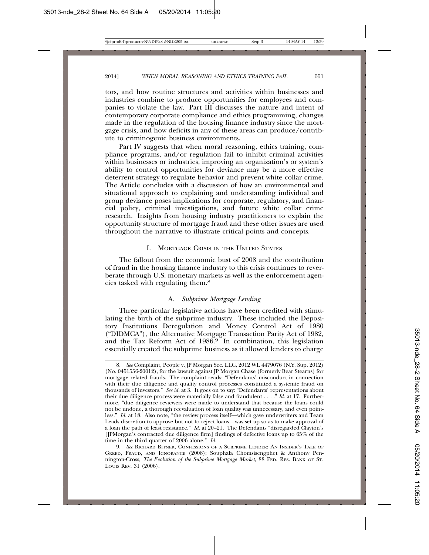tors, and how routine structures and activities within businesses and industries combine to produce opportunities for employees and companies to violate the law. Part III discusses the nature and intent of contemporary corporate compliance and ethics programming, changes made in the regulation of the housing finance industry since the mortgage crisis, and how deficits in any of these areas can produce/contribute to criminogenic business environments.

Part IV suggests that when moral reasoning, ethics training, compliance programs, and/or regulation fail to inhibit criminal activities within businesses or industries, improving an organization's or system's ability to control opportunities for deviance may be a more effective deterrent strategy to regulate behavior and prevent white collar crime. The Article concludes with a discussion of how an environmental and situational approach to explaining and understanding individual and group deviance poses implications for corporate, regulatory, and financial policy, criminal investigations, and future white collar crime research. Insights from housing industry practitioners to explain the opportunity structure of mortgage fraud and these other issues are used throughout the narrative to illustrate critical points and concepts.

#### I. MORTGAGE CRISIS IN THE UNITED STATES

The fallout from the economic bust of 2008 and the contribution of fraud in the housing finance industry to this crisis continues to reverberate through U.S. monetary markets as well as the enforcement agencies tasked with regulating them.8

#### A. *Subprime Mortgage Lending*

Three particular legislative actions have been credited with stimulating the birth of the subprime industry. These included the Depository Institutions Deregulation and Money Control Act of 1980 ("DIDMCA"), the Alternative Mortgage Transaction Parity Act of 1982, and the Tax Reform Act of 1986.9 In combination, this legislation essentially created the subprime business as it allowed lenders to charge

<sup>8.</sup> *See* Complaint, People v. JP Morgan Sec. LLC, 2012 WL 4479076 (N.Y. Sup. 2012) (No. 0451556-20012), for the lawsuit against JP Morgan Chase (formerly Bear Stearns) for mortgage related frauds. The complaint reads: "Defendants' misconduct in connection with their due diligence and quality control processes constituted a systemic fraud on thousands of investors." *See id.* at 3. It goes on to say: "Defendants' representations about their due diligence process were materially false and fraudulent . . . ." *Id.* at 17. Furthermore, "due diligence reviewers were made to understand that because the loans could not be undone, a thorough reevaluation of loan quality was unnecessary, and even pointless." *Id.* at 18. Also note, "the review process itself—which gave underwriters and Team Leads discretion to approve but not to reject loans—was set up so as to make approval of a loan the path of least resistance." *Id.* at 20–21. The Defendants "disregarded Clayton's [JPMorgan's contracted due diligence firm] findings of defective loans up to 65% of the time in the third quarter of 2006 alone." *Id.*

<sup>9.</sup> *See* RICHARD BITNER, CONFESSIONS OF A SUBPRIME LENDER: AN INSIDER'S TALE OF GREED, FRAUD, AND IGNORANCE (2008); Souphala Chomsisengphet & Anthony Pennington-Cross, *The Evolution of the Subprime Mortgage Market*, 88 FED. RES. BANK OF ST. LOUIS REV. 31 (2006).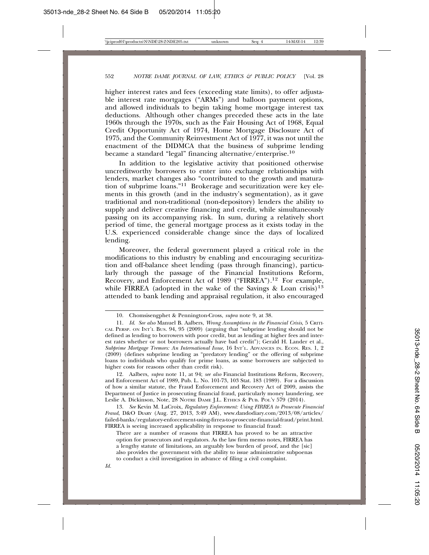higher interest rates and fees (exceeding state limits), to offer adjustable interest rate mortgages ("ARMs") and balloon payment options, and allowed individuals to begin taking home mortgage interest tax deductions. Although other changes preceded these acts in the late 1960s through the 1970s, such as the Fair Housing Act of 1968, Equal Credit Opportunity Act of 1974, Home Mortgage Disclosure Act of 1975, and the Community Reinvestment Act of 1977, it was not until the enactment of the DIDMCA that the business of subprime lending became a standard "legal" financing alternative/enterprise.10

In addition to the legislative activity that positioned otherwise uncreditworthy borrowers to enter into exchange relationships with lenders, market changes also "contributed to the growth and maturation of subprime loans."11 Brokerage and securitization were key elements in this growth (and in the industry's segmentation), as it gave traditional and non-traditional (non-depository) lenders the ability to supply and deliver creative financing and credit, while simultaneously passing on its accompanying risk. In sum, during a relatively short period of time, the general mortgage process as it exists today in the U.S. experienced considerable change since the days of localized lending.

Moreover, the federal government played a critical role in the modifications to this industry by enabling and encouraging securitization and off-balance sheet lending (pass through financing), particularly through the passage of the Financial Institutions Reform, Recovery, and Enforcement Act of 1989 ("FIRREA").12 For example, while FIRREA (adopted in the wake of the Savings & Loan crisis)<sup>13</sup> attended to bank lending and appraisal regulation, it also encouraged

12. Aalbers, *supra* note 11, at 94; *see also* Financial Institutions Reform, Recovery, and Enforcement Act of 1989, Pub. L. No. 101-73, 103 Stat. 183 (1989). For a discussion of how a similar statute, the Fraud Enforcement and Recovery Act of 2009, assists the Department of Justice in prosecuting financial fraud, particularly money laundering, see Leslie A. Dickinson, Note, 28 NOTRE DAME J.L. ETHICS & PUB. POL'Y 579 (2014).

13. *See* Kevin M. LaCroix, *Regulatory Enforcement: Using FIRREA to Prosecute Financial Fraud*, D&O DIARY (Aug. 27, 2013, 3:49 AM), www.dandodiary.com/2013/08/articles/ failed-banks/regulatory-enforcement-using-firrea-to-prosecute-financial-fraud/print.html. FIRREA is seeing increased applicability in response to financial fraud:

There are a number of reasons that FIRREA has proved to be an attractive option for prosecutors and regulators. As the law firm memo notes, FIRREA has a lengthy statute of limitations, an arguably low burden of proof, and the [sic] also provides the government with the ability to issue administrative subpoenas to conduct a civil investigation in advance of filing a civil complaint.

<sup>10.</sup> Chomsisengphet & Pennington-Cross, *supra* note 9, at 38.

<sup>11.</sup> *Id*. *See also* Manuel B. Aalbers, *Wrong Assumptions in the Financial Crisis*, 5 CRITI-CAL PERSP. ON INT'L BUS. 94, 95 (2009) (arguing that "subprime lending should not be defined as lending to borrowers with poor credit, but as lending at higher fees and interest rates whether or not borrowers actually have bad credit"); Gerald H. Lander et al., *Subprime Mortgage Tremors: An International Issue*, 16 INT'L. ADVANCES IN. ECON. RES. 1, 2 (2009) (defines subprime lending as "predatory lending" or the offering of subprime loans to individuals who qualify for prime loans, as some borrowers are subjected to higher costs for reasons other than credit risk).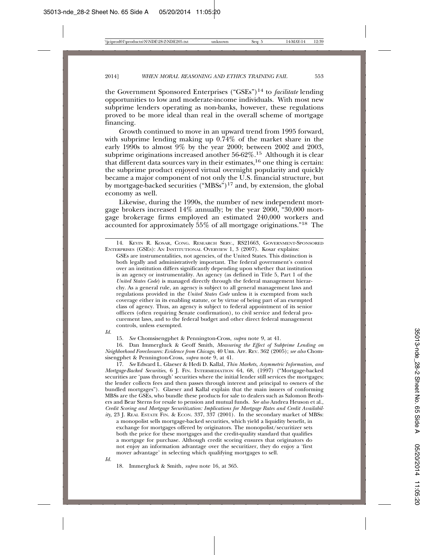the Government Sponsored Enterprises ("GSEs")14 to *facilitate* lending opportunities to low and moderate-income individuals. With most new subprime lenders operating as non-banks, however, these regulations proved to be more ideal than real in the overall scheme of mortgage financing.

Growth continued to move in an upward trend from 1995 forward, with subprime lending making up 0.74% of the market share in the early 1990s to almost 9% by the year 2000; between 2002 and 2003, subprime originations increased another 56-62%.<sup>15</sup> Although it is clear that different data sources vary in their estimates,  $16$  one thing is certain: the subprime product enjoyed virtual overnight popularity and quickly became a major component of not only the U.S. financial structure, but by mortgage-backed securities ("MBSs")17 and, by extension, the global economy as well.

Likewise, during the 1990s, the number of new independent mortgage brokers increased 14% annually; by the year 2000, "30,000 mortgage brokerage firms employed an estimated 240,000 workers and accounted for approximately 55% of all mortgage originations."18 The

GSEs are instrumentalities, not agencies, of the United States. This distinction is both legally and administratively important. The federal government's control over an institution differs significantly depending upon whether that institution is an agency or instrumentality. An agency (as defined in Title 5, Part 1 of the *United States Code*) is managed directly through the federal management hierarchy. As a general rule, an agency is subject to all general management laws and regulations provided in the *United States Code* unless it is exempted from such coverage either in its enabling statute, or by virtue of being part of an exempted class of agency. Thus, an agency is subject to federal appointment of its senior officers (often requiring Senate confirmation), to civil service and federal procurement laws, and to the federal budget and other direct federal management controls, unless exempted.

*Id.*

15. *See* Chomsisengphet & Pennington-Cross, *supra* note 9, at 41.

16. Dan Immergluck & Geoff Smith, *Measuring the Effect of Subprime Lending on Neighborhood Foreclosures: Evidence from Chicago*, 40 URB. AFF. REV. 362 (2005); *see also* Chomsisengphet & Pennington-Cross, *supra* note 9, at 41.

17. *See* Edward L. Glaeser & Hedi D. Kallal, *Thin Markets, Asymmetric Information, and Mortgage-Backed Securities*, 6 J. FIN. INTERMEDIATION 64, 68, (1997) ("Mortgage-backed securities are 'pass through' securities where the initial lender still services the mortgages; the lender collects fees and then passes through interest and principal to owners of the bundled mortgages"). Glaeser and Kallal explain that the main issuers of conforming MBSs are the GSEs, who bundle these products for sale to dealers such as Salomon Brothers and Bear Sterns for resale to pension and mutual funds. *See also* Andrea Heuson et al., *Credit Scoring and Mortgage Securitization: Implications for Mortgage Rates and Credit Availability*, 23 J. REAL ESTATE FIN. & ECON. 337, 337 (2001). In the secondary market of MBSs:

a monopolist sells mortgage-backed securities, which yield a liquidity benefit, in exchange for mortgages offered by originators. The monopolist/securitizer sets both the price for these mortgages and the credit-quality standard that qualifies a mortgage for purchase. Although credit scoring ensures that originators do not enjoy an information advantage over the securitizer, they do enjoy a 'first mover advantage' in selecting which qualifying mortgages to sell.

*Id.*

18. Immergluck & Smith, *supra* note 16, at 365.

<sup>14.</sup> KEVIN R. KOSAR, CONG. RESEARCH SERV., RS21663, GOVERNMENT-SPONSORED ENTERPRISES (GSES): AN INSTITUTIONAL OVERVIEW 1, 3 (2007). Kosar explains: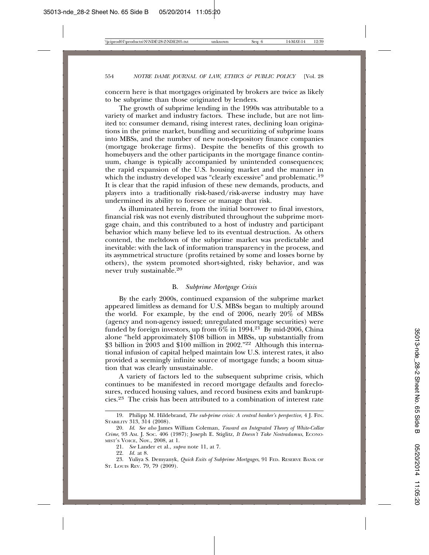concern here is that mortgages originated by brokers are twice as likely to be subprime than those originated by lenders.

The growth of subprime lending in the 1990s was attributable to a variety of market and industry factors. These include, but are not limited to: consumer demand, rising interest rates, declining loan originations in the prime market, bundling and securitizing of subprime loans into MBSs, and the number of new non-depository finance companies (mortgage brokerage firms). Despite the benefits of this growth to homebuyers and the other participants in the mortgage finance continuum, change is typically accompanied by unintended consequences; the rapid expansion of the U.S. housing market and the manner in which the industry developed was "clearly excessive" and problematic.<sup>19</sup> It is clear that the rapid infusion of these new demands, products, and players into a traditionally risk-based/risk-averse industry may have undermined its ability to foresee or manage that risk.

As illuminated herein, from the initial borrower to final investors, financial risk was not evenly distributed throughout the subprime mortgage chain, and this contributed to a host of industry and participant behavior which many believe led to its eventual destruction. As others contend, the meltdown of the subprime market was predictable and inevitable: with the lack of information transparency in the process, and its asymmetrical structure (profits retained by some and losses borne by others), the system promoted short-sighted, risky behavior, and was never truly sustainable.20

#### B. *Subprime Mortgage Crisis*

By the early 2000s, continued expansion of the subprime market appeared limitless as demand for U.S. MBSs began to multiply around the world. For example, by the end of  $2006$ , nearly  $20\%$  of MBSs (agency and non-agency issued; unregulated mortgage securities) were funded by foreign investors, up from  $6\%$  in 1994.<sup>21</sup> By mid-2006, China alone "held approximately \$108 billion in MBSs, up substantially from \$3 billion in  $\frac{2003}{100}$  and \$100 million in 2002."<sup>22</sup> Although this international infusion of capital helped maintain low U.S. interest rates, it also provided a seemingly infinite source of mortgage funds; a boom situation that was clearly unsustainable.

A variety of factors led to the subsequent subprime crisis, which continues to be manifested in record mortgage defaults and foreclosures, reduced housing values, and record business exits and bankruptcies.23 The crisis has been attributed to a combination of interest rate

22. *Id.* at 8.

<sup>19.</sup> Philipp M. Hildebrand, *The sub-prime crisis: A central banker's perspective*, 4 J. FIN. STABILITY 313, 314 (2008).

<sup>20.</sup> *Id*. *See also* James William Coleman, *Toward an Integrated Theory of White-Collar Crime*, 93 AM. J. SOC. 406 (1987); Joseph E. Stiglitz, *It Doesn't Take Nostradamus*, ECONO-MIST'S VOICE, Nov., 2008, at 1.

<sup>21.</sup> *See* Lander et al., *supra* note 11, at 7.

<sup>23.</sup> Yuliya S. Demyanyk, *Quick Exits of Subprime Mortgages*, 91 FED. RESERVE BANK OF ST. LOUIS REV. 79, 79 (2009).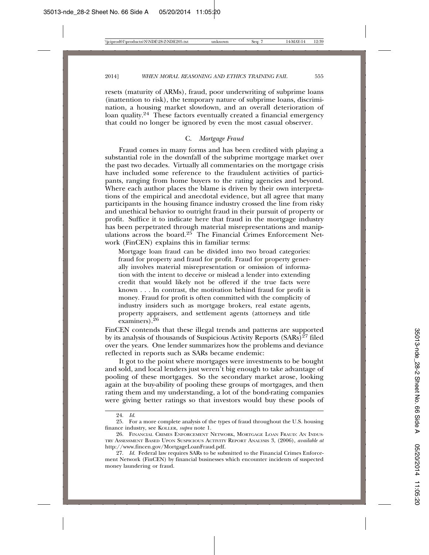resets (maturity of ARMs), fraud, poor underwriting of subprime loans (inattention to risk), the temporary nature of subprime loans, discrimination, a housing market slowdown, and an overall deterioration of loan quality.<sup>24</sup> These factors eventually created a financial emergency that could no longer be ignored by even the most casual observer.

#### C. *Mortgage Fraud*

Fraud comes in many forms and has been credited with playing a substantial role in the downfall of the subprime mortgage market over the past two decades. Virtually all commentaries on the mortgage crisis have included some reference to the fraudulent activities of participants, ranging from home buyers to the rating agencies and beyond. Where each author places the blame is driven by their own interpretations of the empirical and anecdotal evidence, but all agree that many participants in the housing finance industry crossed the line from risky and unethical behavior to outright fraud in their pursuit of property or profit. Suffice it to indicate here that fraud in the mortgage industry has been perpetrated through material misrepresentations and manipulations across the board.25 The Financial Crimes Enforcement Network (FinCEN) explains this in familiar terms:

Mortgage loan fraud can be divided into two broad categories: fraud for property and fraud for profit. Fraud for property generally involves material misrepresentation or omission of information with the intent to deceive or mislead a lender into extending credit that would likely not be offered if the true facts were known . . . In contrast, the motivation behind fraud for profit is money. Fraud for profit is often committed with the complicity of industry insiders such as mortgage brokers, real estate agents, property appraisers, and settlement agents (attorneys and title examiners).<sup>26</sup>

FinCEN contends that these illegal trends and patterns are supported by its analysis of thousands of Suspicious Activity Reports  $(SARs)^{27}$  filed over the years. One lender summarizes how the problems and deviance reflected in reports such as SARs became endemic:

It got to the point where mortgages were investments to be bought and sold, and local lenders just weren't big enough to take advantage of pooling of these mortgages. So the secondary market arose, looking again at the buy-ability of pooling these groups of mortgages, and then rating them and my understanding, a lot of the bond-rating companies were giving better ratings so that investors would buy these pools of

<sup>24.</sup> *Id*.

<sup>25.</sup> For a more complete analysis of the types of fraud throughout the U.S. housing finance industry, see KOLLER, *supra* note 1.

<sup>26.</sup> FINANCIAL CRIMES ENFORCEMENT NETWORK, MORTGAGE LOAN FRAUD: AN INDUS-TRY ASSESSMENT BASED UPON SUSPICIOUS ACTIVITY REPORT ANALYSIS 3, (2006), *available at* http://www.fincen.gov/MortgageLoanFraud.pdf.

<sup>27.</sup> *Id.* Federal law requires SARs to be submitted to the Financial Crimes Enforcement Network (FinCEN) by financial businesses which encounter incidents of suspected money laundering or fraud.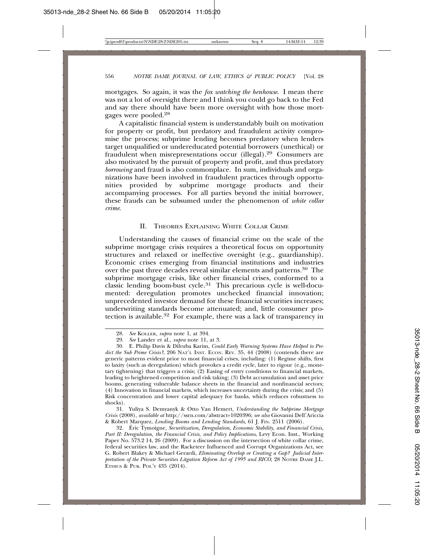mortgages. So again, it was the *fox watching the henhouse*. I mean there was not a lot of oversight there and I think you could go back to the Fed and say there should have been more oversight with how those mortgages were pooled.28

A capitalistic financial system is understandably built on motivation for property or profit, but predatory and fraudulent activity compromise the process; subprime lending becomes predatory when lenders target unqualified or undereducated potential borrowers (unethical) or fraudulent when misrepresentations occur (illegal).29 Consumers are also motivated by the pursuit of property and profit, and thus predatory *borrowing* and fraud is also commonplace. In sum, individuals and organizations have been involved in fraudulent practices through opportunities provided by subprime mortgage products and their accompanying processes. For all parties beyond the initial borrower, these frauds can be subsumed under the phenomenon of *white collar crime*.

#### II. THEORIES EXPLAINING WHITE COLLAR CRIME

Understanding the causes of financial crime on the scale of the subprime mortgage crisis requires a theoretical focus on opportunity structures and relaxed or ineffective oversight (e.g., guardianship). Economic crises emerging from financial institutions and industries over the past three decades reveal similar elements and patterns.30 The subprime mortgage crisis, like other financial crises, conformed to a classic lending boom-bust cycle.31 This precarious cycle is well-documented: deregulation promotes unchecked financial innovation; unprecedented investor demand for these financial securities increases; underwriting standards become attenuated; and, little consumer protection is available.<sup>32</sup> For example, there was a lack of transparency in

<sup>28.</sup> *See* KOLLER, *supra* note 1, at 394.

<sup>29.</sup> *See* Lander et al., *supra* note 11, at 3.

<sup>30.</sup> E. Philip Davis & Dilruba Karim, *Could Early Warning Systems Have Helped to Pre*dict the Sub Prime Crisis?, 206 NAT'L INST. ECON. REV. 35, 44 (2008) (contends there are generic patterns evident prior to most financial crises, including: (1) Regime shifts, first to laxity (such as deregulation) which provokes a credit cycle, later to rigour (e.g., monetary tightening) that triggers a crisis; (2) Easing of entry conditions to financial markets, leading to heightened competition and risk taking; (3) Debt accumulation and asset price booms, generating vulnerable balance sheets in the financial and nonfinancial sectors; (4) Innovation in financial markets, which increases uncertainty during the crisis; and (5) Risk concentration and lower capital adequacy for banks, which reduces robustness to shocks).

<sup>31.</sup> Yuliya S. Demyanyk & Otto Van Hemert, *Understanding the Subprime Mortgage Crisis* (2008), *available at* http://ssrn.com/abstract=1020396; *see also* Giovanni Dell'Ariccia & Robert Marquez, *Lending Booms and Lending Standards*, 61 J. FIN. 2511 (2006).

<sup>32.</sup> Éric Tymoigne, Securitization, Deregulation, Economic Stability, and Financial Crisis, *Part II: Deregulation, the Financial Crisis, and Policy Implications*, Levy Econ. Inst., Working Paper No. 573.2 14, 26 (2009). For a discussion on the intersection of white collar crime, federal securities law, and the Racketeer Influenced and Corrupt Organizations Act, see G. Robert Blakey & Michael Gerardi, *Eliminating Overlap or Creating a Gap? Judicial Interpretation of the Private Securities Litgation Reform Act of 1995 and RICO*, 28 NOTRE DAME J.L. ETHICS & PUB. POL'Y 435 (2014).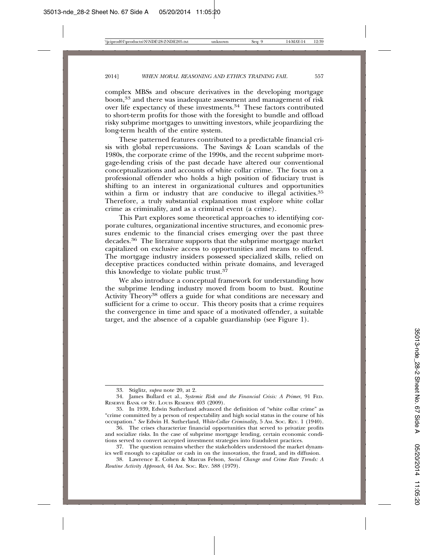complex MBSs and obscure derivatives in the developing mortgage boom,33 and there was inadequate assessment and management of risk over life expectancy of these investments.34 These factors contributed to short-term profits for those with the foresight to bundle and offload risky subprime mortgages to unwitting investors, while jeopardizing the long-term health of the entire system.

These patterned features contributed to a predictable financial crisis with global repercussions. The Savings  $\&$  Loan scandals of the 1980s, the corporate crime of the 1990s, and the recent subprime mortgage-lending crisis of the past decade have altered our conventional conceptualizations and accounts of white collar crime. The focus on a professional offender who holds a high position of fiduciary trust is shifting to an interest in organizational cultures and opportunities within a firm or industry that are conducive to illegal activities.<sup>35</sup> Therefore, a truly substantial explanation must explore white collar crime as criminality, and as a criminal event (a crime).

This Part explores some theoretical approaches to identifying corporate cultures, organizational incentive structures, and economic pressures endemic to the financial crises emerging over the past three decades.36 The literature supports that the subprime mortgage market capitalized on exclusive access to opportunities and means to offend. The mortgage industry insiders possessed specialized skills, relied on deceptive practices conducted within private domains, and leveraged this knowledge to violate public trust.<sup>37</sup>

We also introduce a conceptual framework for understanding how the subprime lending industry moved from boom to bust. Routine Activity Theory<sup>38</sup> offers a guide for what conditions are necessary and sufficient for a crime to occur. This theory posits that a crime requires the convergence in time and space of a motivated offender, a suitable target, and the absence of a capable guardianship (see Figure 1).

<sup>33.</sup> Stiglitz, *supra* note 20, at 2.

<sup>34.</sup> James Bullard et al., *Systemic Risk and the Financial Crisis: A Primer*, 91 FED. RESERVE BANK OF ST. LOUIS RESERVE 403 (2009).

<sup>35.</sup> In 1939, Edwin Sutherland advanced the definition of "white collar crime" as "crime committed by a person of respectability and high social status in the course of his occupation." *See* Edwin H. Sutherland, *White-Collar Criminality*, 5 AM. SOC. REV. 1 (1940).

<sup>36.</sup> The crises characterize financial opportunities that served to privatize profits and socialize risks. In the case of subprime mortgage lending, certain economic conditions served to convert accepted investment strategies into fraudulent practices.

<sup>37.</sup> The question remains whether the stakeholders understood the market dynamics well enough to capitalize or cash in on the innovation, the fraud, and its diffusion.

<sup>38.</sup> Lawrence E. Cohen & Marcus Felson, *Social Change and Crime Rate Trends: A Routine Activity Approach*, 44 AM. SOC. REV. 588 (1979).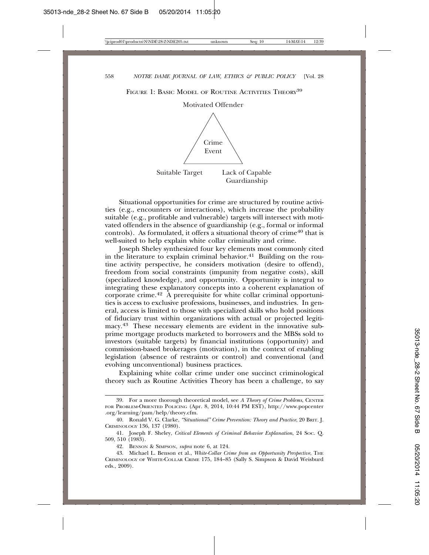FIGURE 1: BASIC MODEL OF ROUTINE ACTIVITIES THEORY<sup>39</sup>



Situational opportunities for crime are structured by routine activities (e.g., encounters or interactions), which increase the probability suitable (e.g., profitable and vulnerable) targets will intersect with motivated offenders in the absence of guardianship (e.g., formal or informal controls). As formulated, it offers a situational theory of crime<sup>40</sup> that is well-suited to help explain white collar criminality and crime.

Joseph Sheley synthesized four key elements most commonly cited in the literature to explain criminal behavior.<sup>41</sup> Building on the routine activity perspective, he considers motivation (desire to offend), freedom from social constraints (impunity from negative costs), skill (specialized knowledge), and opportunity. Opportunity is integral to integrating these explanatory concepts into a coherent explanation of corporate crime.42 A prerequisite for white collar criminal opportunities is access to exclusive professions, businesses, and industries. In general, access is limited to those with specialized skills who hold positions of fiduciary trust within organizations with actual or projected legitimacy.43 These necessary elements are evident in the innovative subprime mortgage products marketed to borrowers and the MBSs sold to investors (suitable targets) by financial institutions (opportunity) and commission-based brokerages (motivation), in the context of enabling legislation (absence of restraints or control) and conventional (and evolving unconventional) business practices.

Explaining white collar crime under one succinct criminological theory such as Routine Activities Theory has been a challenge, to say

<sup>39.</sup> For a more thorough theoretical model, see *A Theory of Crime Problems*, CENTER FOR PROBLEM-ORIENTED POLICING (Apr. 8, 2014, 10:44 PM EST), http://www.popcenter .org/learning/pam/help/theory.cfm.

<sup>40.</sup> Ronald V. G. Clarke, *"Situational" Crime Prevention: Theory and Practice*, 20 BRIT. J. CRIMINOLOGY 136, 137 (1980).

<sup>41.</sup> Joseph F. Sheley, *Critical Elements of Criminal Behavior Explanation*, 24 SOC. Q. 509, 510 (1983).

<sup>42.</sup> BENSON & SIMPSON, *supra* note 6, at 124.

<sup>43.</sup> Michael L. Benson et al., *White-Collar Crime from an Opportunity Perspective*, THE CRIMINOLOGY OF WHITE-COLLAR CRIME 175, 184–85 (Sally S. Simpson & David Weisburd eds., 2009).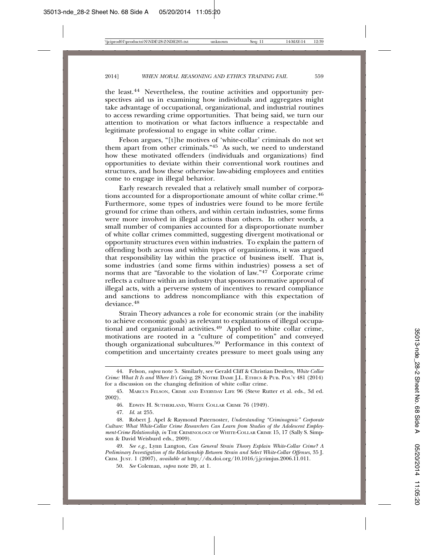the least.44 Nevertheless, the routine activities and opportunity perspectives aid us in examining how individuals and aggregates might take advantage of occupational, organizational, and industrial routines to access rewarding crime opportunities. That being said, we turn our attention to motivation or what factors influence a respectable and legitimate professional to engage in white collar crime.

Felson argues, "[t]he motives of 'white-collar' criminals do not set them apart from other criminals."45 As such, we need to understand how these motivated offenders (individuals and organizations) find opportunities to deviate within their conventional work routines and structures, and how these otherwise law-abiding employees and entities come to engage in illegal behavior.

Early research revealed that a relatively small number of corporations accounted for a disproportionate amount of white collar crime.46 Furthermore, some types of industries were found to be more fertile ground for crime than others, and within certain industries, some firms were more involved in illegal actions than others. In other words, a small number of companies accounted for a disproportionate number of white collar crimes committed, suggesting divergent motivational or opportunity structures even within industries. To explain the pattern of offending both across and within types of organizations, it was argued that responsibility lay within the practice of business itself. That is, some industries (and some firms within industries) possess a set of norms that are "favorable to the violation of law." $47$  Corporate crime reflects a culture within an industry that sponsors normative approval of illegal acts, with a perverse system of incentives to reward compliance and sanctions to address noncompliance with this expectation of deviance.<sup>48</sup>

Strain Theory advances a role for economic strain (or the inability to achieve economic goals) as relevant to explanations of illegal occupational and organizational activities.49 Applied to white collar crime, motivations are rooted in a "culture of competition" and conveyed though organizational subcultures.50 Performance in this context of competition and uncertainty creates pressure to meet goals using any

47. *Id*. at 255.

<sup>44.</sup> Felson, *supra* note 5. Similarly, see Gerald Cliff & Christian Desilets*, White Collar Crime: What It Is and Where It's Going*, 28 NOTRE DAME J.L. ETHICS & PUB. POL'Y 481 (2014) for a discussion on the changing definition of white collar crime.

<sup>45.</sup> MARCUS FELSON, CRIME AND EVERYDAY LIFE 96 (Steve Rutter et al. eds., 3d ed. 2002).

<sup>46.</sup> EDWIN H. SUTHERLAND, WHITE COLLAR CRIME 76 (1949).

<sup>48.</sup> Robert J. Apel & Raymond Paternoster, *Understanding "Criminogenic" Corporate Culture: What White-Collar Crime Researchers Can Learn from Studies of the Adolescent Employment-Crime Relationship*, *in* THE CRIMINOLOGY OF WHITE-COLLAR CRIME 15, 17 (Sally S. Simpson & David Weisburd eds., 2009).

<sup>49.</sup> *See e.g.*, Lynn Langton, *Can General Strain Theory Explain White-Collar Crime? A Preliminary Investigation of the Relationship Between Strain and Select White-Collar Offenses*, 35 J. CRIM. JUST. 1 (2007), *available at* http://dx.doi.org/10.1016/j.jcrimjus.2006.11.011.

<sup>50.</sup> *See* Coleman, *supra* note 20, at 1.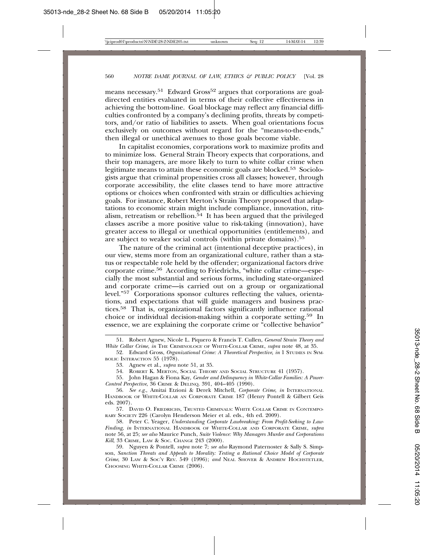means necessary.<sup>51</sup> Edward Gross<sup>52</sup> argues that corporations are goaldirected entities evaluated in terms of their collective effectiveness in achieving the bottom-line. Goal blockage may reflect any financial difficulties confronted by a company's declining profits, threats by competitors, and/or ratio of liabilities to assets. When goal orientations focus exclusively on outcomes without regard for the "means-to-the-ends," then illegal or unethical avenues to those goals become viable.

In capitalist economies, corporations work to maximize profits and to minimize loss. General Strain Theory expects that corporations, and their top managers, are more likely to turn to white collar crime when legitimate means to attain these economic goals are blocked.53 Sociologists argue that criminal propensities cross all classes; however, through corporate accessibility, the elite classes tend to have more attractive options or choices when confronted with strain or difficulties achieving goals. For instance, Robert Merton's Strain Theory proposed that adaptations to economic strain might include compliance, innovation, ritualism, retreatism or rebellion.<sup>54</sup> It has been argued that the privileged classes ascribe a more positive value to risk-taking (innovation), have greater access to illegal or unethical opportunities (entitlements), and are subject to weaker social controls (within private domains).<sup>55</sup>

The nature of the criminal act (intentional deceptive practices), in our view, stems more from an organizational culture, rather than a status or respectable role held by the offender; organizational factors drive corporate crime.56 According to Friedrichs, "white collar crime—especially the most substantial and serious forms, including state-organized and corporate crime—is carried out on a group or organizational level."57 Corporations sponsor cultures reflecting the values, orientations, and expectations that will guide managers and business practices.58 That is, organizational factors significantly influence rational choice or individual decision-making within a corporate setting.59 In essence, we are explaining the corporate crime or "collective behavior"

54. ROBERT K. MERTON, SOCIAL THEORY AND SOCIAL STRUCTURE 41 (1957).

55. John Hagan & Fiona Kay, *Gender and Delinquency in White-Collar Families: A Power-Control Perspective*, 36 CRIME & DELINQ. 391, 404–405 (1990).

56. *See e.g.*, Amitai Etzioni & Derek Mitchell, *Corporate Crime*, *in* INTERNATIONAL HANDBOOK OF WHITE-COLLAR AN CORPORATE CRIME 187 (Henry Pontell & Gilbert Geis eds. 2007).

57. DAVID O. FRIEDRICHS, TRUSTED CRIMINALS: WHITE COLLAR CRIME IN CONTEMPO-RARY SOCIETY 226 (Carolyn Henderson Meier et al. eds., 4th ed. 2009).

58. Peter C. Yeager, *Understanding Corporate Lawbreaking: From Profit-Seeking to Law-Finding*, *in* INTERNATIONAL HANDBOOK OF WHITE-COLLAR AND CORPORATE CRIME, *supra* note 56, at 25; *see also* Maurice Punch, *Suite Violence: Why Managers Murder and Corporations Kill*, 33 CRIME, LAW & SOC. CHANGE 243 (2000).

59. Nguyen & Pontell, *supra* note 7; *see also* Raymond Paternoster & Sally S. Simpson, *Sanction Threats and Appeals to Morality: Testing a Rational Choice Model of Corporate Crime*, 30 LAW & SOC'Y REV. 549 (1996); *and* NEAL SHOVER & ANDREW HOCHSTETLER, CHOOSING WHITE-COLLAR CRIME (2006).

<sup>51.</sup> Robert Agnew, Nicole L. Piquero & Francis T. Cullen, *General Strain Theory and White Collar Crime*, *in* THE CRIMINOLOGY OF WHITE-COLLAR CRIME, *supra* note 48, at 35.

<sup>52.</sup> Edward Gross, *Organizational Crime: A Theoretical Perspective*, *in* 1 STUDIES IN SYM-BOLIC INTERACTION 55 (1978).

<sup>53.</sup> Agnew et al., *supra* note 51, at 35.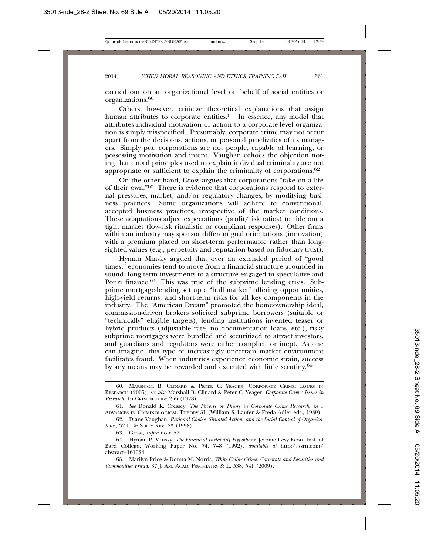carried out on an organizational level on behalf of social entities or organizations.<sup>60</sup>

Others, however, criticize theoretical explanations that assign human attributes to corporate entities.<sup>61</sup> In essence, any model that attributes individual motivation or action to a corporate-level organization is simply misspecified. Presumably, corporate crime may not occur apart from the decisions, actions, or personal proclivities of its managers. Simply put, corporations are not people, capable of learning, or possessing motivation and intent. Vaughan echoes the objection noting that causal principles used to explain individual criminality are not appropriate or sufficient to explain the criminality of corporations.62

On the other hand, Gross argues that corporations "take on a life of their own."63 There is evidence that corporations respond to external pressures, market, and/or regulatory changes, by modifying business practices. Some organizations will adhere to conventional, accepted business practices, irrespective of the market conditions. These adaptations adjust expectations (profit/risk ratios) to ride out a tight market (low-risk ritualistic or compliant responses). Other firms within an industry may sponsor different goal orientations (innovation) with a premium placed on short-term performance rather than longsighted values (e.g., perpetuity and reputation based on fiduciary trust).

Hyman Minsky argued that over an extended period of "good times," economies tend to move from a financial structure grounded in sound, long-term investments to a structure engaged in speculative and Ponzi finance.<sup>64</sup> This was true of the subprime lending crisis. Subprime mortgage-lending set up a "bull market" offering opportunities, high-yield returns, and short-term risks for all key components in the industry. The "American Dream" promoted the homeownership ideal, commission-driven brokers solicited subprime borrowers (suitable or "technically" eligible targets), lending institutions invented teaser or hybrid products (adjustable rate, no documentation loans, etc.), risky subprime mortgages were bundled and securitized to attract investors, and guardians and regulators were either complicit or inept. As one can imagine, this type of increasingly uncertain market environment facilitates fraud. When industries experience economic strain, success by any means may be rewarded and executed with little scrutiny.65

<sup>60.</sup> MARSHALL B. CLINARD & PETER C. YEAGER, CORPORATE CRIME: ISSUES IN RESEARCH (2005); *see also* Marshall B. Clinard & Peter C. Yeager, *Corporate Crime: Issues in Research*, 16 CRIMINOLOGY 255 (1978).

<sup>61.</sup> *See* Donald R. Cressey, *The Poverty of Theory in Corporate Crime Research*, *in* 1 ADVANCES IN CRIMINOLOGICAL THEORY 31 (William S. Laufer & Freda Adler eds., 1989).

<sup>62.</sup> Diane Vaughan, *Rational Choice, Situated Action, and the Social Control of Organizations*, 32 L. & SOC'Y REV. 23 (1998).

<sup>63.</sup> Gross, *supra* note 52.

<sup>64.</sup> Hyman P. Minsky, *The Financial Instability Hypothesis*, Jerome Levy Econ. Inst. of Bard College, Working Paper No. 74, 7–8 (1992), *available at* http://ssrn.com/ abstract=161024.

<sup>65.</sup> Marilyn Price & Donna M. Norris, *White-Collar Crime: Corporate and Securities and Commodities Fraud*, 37 J. AM. ACAD. PSYCHIATRY & L. 538, 541 (2009).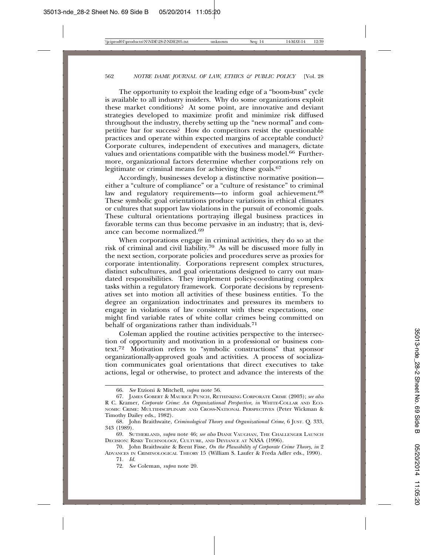The opportunity to exploit the leading edge of a "boom-bust" cycle is available to all industry insiders. Why do some organizations exploit these market conditions? At some point, are innovative and deviant strategies developed to maximize profit and minimize risk diffused throughout the industry, thereby setting up the "new normal" and competitive bar for success? How do competitors resist the questionable practices and operate within expected margins of acceptable conduct? Corporate cultures, independent of executives and managers, dictate values and orientations compatible with the business model.<sup>66</sup> Furthermore, organizational factors determine whether corporations rely on legitimate or criminal means for achieving these goals.<sup>67</sup>

Accordingly, businesses develop a distinctive normative position either a "culture of compliance" or a "culture of resistance" to criminal law and regulatory requirements—to inform goal achievement.<sup>68</sup> These symbolic goal orientations produce variations in ethical climates or cultures that support law violations in the pursuit of economic goals. These cultural orientations portraying illegal business practices in favorable terms can thus become pervasive in an industry; that is, deviance can become normalized.69

When corporations engage in criminal activities, they do so at the risk of criminal and civil liability.70 As will be discussed more fully in the next section, corporate policies and procedures serve as proxies for corporate intentionality. Corporations represent complex structures, distinct subcultures, and goal orientations designed to carry out mandated responsibilities. They implement policy-coordinating complex tasks within a regulatory framework. Corporate decisions by representatives set into motion all activities of these business entities. To the degree an organization indoctrinates and pressures its members to engage in violations of law consistent with these expectations, one might find variable rates of white collar crimes being committed on behalf of organizations rather than individuals.<sup>71</sup>

Coleman applied the routine activities perspective to the intersection of opportunity and motivation in a professional or business context.72 Motivation refers to "symbolic constructions" that sponsor organizationally-approved goals and activities. A process of socialization communicates goal orientations that direct executives to take actions, legal or otherwise, to protect and advance the interests of the

<sup>66.</sup> *See* Etzioni & Mitchell, *supra* note 56.

<sup>67.</sup> JAMES GOBERT & MAURICE PUNCH, RETHINKING CORPORATE CRIME (2003); *see also* R C. Kramer, *Corporate Crime: An Organizational Perspective*, *in* WHITE-COLLAR AND ECO-NOMIC CRIME: MULTIDISCIPLINARY AND CROSS-NATIONAL PERSPECTIVES (Peter Wickman & Timothy Dailey eds., 1982).

<sup>68.</sup> John Braithwaite, *Criminological Theory and Organizational Crime*, 6 JUST. Q. 333, 343 (1989).

<sup>69.</sup> SUTHERLAND, *supra* note 46; *see also* DIANE VAUGHAN, THE CHALLENGER LAUNCH DECISION: RISKY TECHNOLOGY, CULTURE, AND DEVIANCE AT NASA (1996).

<sup>70.</sup> John Braithwaite & Brent Fisse, *On the Plausibility of Corporate Crime Theory*, *in* 2 ADVANCES IN CRIMINOLOGICAL THEORY 15 (William S. Laufer & Freda Adler eds., 1990).

<sup>71.</sup> *Id.*

<sup>72.</sup> *See* Coleman, *supra* note 20.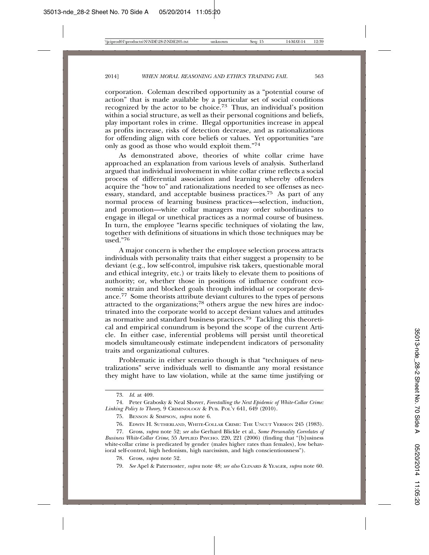corporation. Coleman described opportunity as a "potential course of action" that is made available by a particular set of social conditions recognized by the actor to be choice.<sup>73</sup> Thus, an individual's position within a social structure, as well as their personal cognitions and beliefs, play important roles in crime. Illegal opportunities increase in appeal as profits increase, risks of detection decrease, and as rationalizations for offending align with core beliefs or values. Yet opportunities "are only as good as those who would exploit them."74

As demonstrated above, theories of white collar crime have approached an explanation from various levels of analysis. Sutherland argued that individual involvement in white collar crime reflects a social process of differential association and learning whereby offenders acquire the "how to" and rationalizations needed to see offenses as necessary, standard, and acceptable business practices.75 As part of any normal process of learning business practices—selection, induction, and promotion—white collar managers may order subordinates to engage in illegal or unethical practices as a normal course of business. In turn, the employee "learns specific techniques of violating the law, together with definitions of situations in which those techniques may be  $use$ d $.76$ 

A major concern is whether the employee selection process attracts individuals with personality traits that either suggest a propensity to be deviant (e.g., low self-control, impulsive risk takers, questionable moral and ethical integrity, etc.) or traits likely to elevate them to positions of authority; or, whether those in positions of influence confront economic strain and blocked goals through individual or corporate deviance.77 Some theorists attribute deviant cultures to the types of persons attracted to the organizations;78 others argue the new hires are indoctrinated into the corporate world to accept deviant values and attitudes as normative and standard business practices.79 Tackling this theoretical and empirical conundrum is beyond the scope of the current Article. In either case, inferential problems will persist until theoretical models simultaneously estimate independent indicators of personality traits and organizational cultures.

Problematic in either scenario though is that "techniques of neutralizations" serve individuals well to dismantle any moral resistance they might have to law violation, while at the same time justifying or

<sup>73.</sup> *Id*. at 409.

<sup>74.</sup> Peter Grabosky & Neal Shover, *Forestalling the Next Epidemic of White-Collar Crime: Linking Policy to Theory*, 9 CRIMINOLOGY & PUB. POL'Y 641, 649 (2010).

<sup>75.</sup> BENSON & SIMPSON, *supra* note 6.

<sup>76.</sup> EDWIN H. SUTHERLAND, WHITE-COLLAR CRIME: THE UNCUT VERSION 245 (1983).

<sup>77.</sup> Gross, *supra* note 52; *see also* Gerhard Blickle et al., *Some Personality Correlates of Business White-Collar Crime*, 55 APPLIED PSYCHO. 220, 221 (2006) (finding that "[b]usiness white-collar crime is predicated by gender (males higher rates than females), low behavioral self-control, high hedonism, high narcissism, and high conscientiousness").

<sup>78.</sup> Gross, *supra* note 52.

<sup>79.</sup> *See* Apel & Paternoster, *supra* note 48; *see also* CLINARD & YEAGER, *supra* note 60.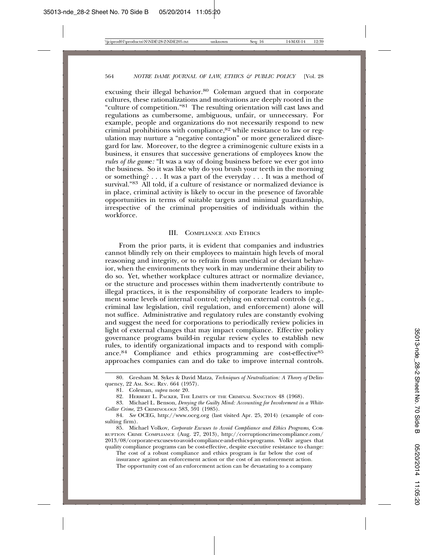excusing their illegal behavior.<sup>80</sup> Coleman argued that in corporate cultures, these rationalizations and motivations are deeply rooted in the "culture of competition."81 The resulting orientation will cast laws and regulations as cumbersome, ambiguous, unfair, or unnecessary. For example, people and organizations do not necessarily respond to new criminal prohibitions with compliance,<sup>82</sup> while resistance to law or regulation may nurture a "negative contagion" or more generalized disregard for law. Moreover, to the degree a criminogenic culture exists in a business, it ensures that successive generations of employees know the *rules of the gam*e*:* "It was a way of doing business before we ever got into the business. So it was like why do you brush your teeth in the morning or something? . . . It was a part of the everyday . . . It was a method of survival."<sup>83</sup> All told, if a culture of resistance or normalized deviance is in place, criminal activity is likely to occur in the presence of favorable opportunities in terms of suitable targets and minimal guardianship, irrespective of the criminal propensities of individuals within the workforce.

#### III. COMPLIANCE AND ETHICS

From the prior parts, it is evident that companies and industries cannot blindly rely on their employees to maintain high levels of moral reasoning and integrity, or to refrain from unethical or deviant behavior, when the environments they work in may undermine their ability to do so. Yet, whether workplace cultures attract or normalize deviance, or the structure and processes within them inadvertently contribute to illegal practices, it is the responsibility of corporate leaders to implement some levels of internal control; relying on external controls (e.g., criminal law legislation, civil regulation, and enforcement) alone will not suffice. Administrative and regulatory rules are constantly evolving and suggest the need for corporations to periodically review policies in light of external changes that may impact compliance. Effective policy governance programs build-in regular review cycles to establish new rules, to identify organizational impacts and to respond with compliance.<sup>84</sup> Compliance and ethics programming are cost-effective<sup>85</sup> approaches companies can and do take to improve internal controls.

The cost of a robust compliance and ethics program is far below the cost of insurance against an enforcement action or the cost of an enforcement action. The opportunity cost of an enforcement action can be devastating to a company

<sup>80.</sup> Gresham M. Sykes & David Matza, *Techniques of Neutralization: A Theory of* Delinquency, 22 AM. SOC. REV. 664 (1957).

<sup>81.</sup> Coleman, *supra* note 20.

<sup>82.</sup> HERBERT L. PACKER, THE LIMITS OF THE CRIMINAL SANCTION 48 (1968).

<sup>83.</sup> Michael L. Benson, *Denying the Guilty Mind: Accounting for Involvement in a White-Collar Crime*, 23 CRIMINOLOGY 583, 591 (1985).

<sup>84.</sup> *See* OCEG, http://www.oceg.org (last visited Apr. 25, 2014) (example of consulting firm).

<sup>85.</sup> Michael Volkov, *Corporate Excuses to Avoid Compliance and Ethics Programs,* COR-RUPTION CRIME COMPLIANCE (Aug. 27, 2013), http://corruptioncrimecompliance.com/ 2013/08/corporate-excuses-to-avoid-compliance-and-ethics-programs. Volkv argues that quality compliance programs can be cost-effective, despite executive resistance to change: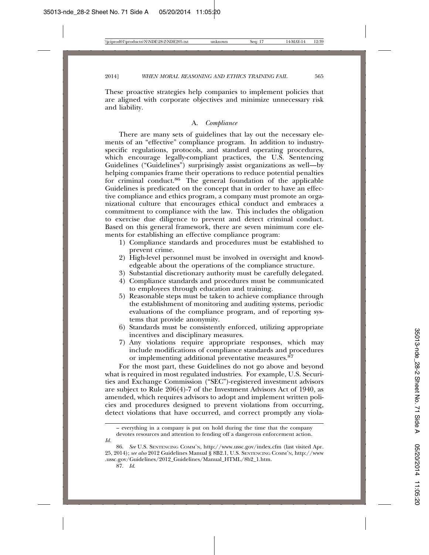These proactive strategies help companies to implement policies that are aligned with corporate objectives and minimize unnecessary risk and liability.

#### A. *Compliance*

There are many sets of guidelines that lay out the necessary elements of an "effective" compliance program. In addition to industryspecific regulations, protocols, and standard operating procedures, which encourage legally-compliant practices, the U.S. Sentencing Guidelines ("Guidelines") surprisingly assist organizations as well—by helping companies frame their operations to reduce potential penalties for criminal conduct.86 The general foundation of the applicable Guidelines is predicated on the concept that in order to have an effective compliance and ethics program, a company must promote an organizational culture that encourages ethical conduct and embraces a commitment to compliance with the law. This includes the obligation to exercise due diligence to prevent and detect criminal conduct. Based on this general framework, there are seven minimum core elements for establishing an effective compliance program:

- 1) Compliance standards and procedures must be established to prevent crime.
- 2) High-level personnel must be involved in oversight and knowledgeable about the operations of the compliance structure.
- 3) Substantial discretionary authority must be carefully delegated.
- 4) Compliance standards and procedures must be communicated to employees through education and training.
- 5) Reasonable steps must be taken to achieve compliance through the establishment of monitoring and auditing systems, periodic evaluations of the compliance program, and of reporting systems that provide anonymity.
- 6) Standards must be consistently enforced, utilizing appropriate incentives and disciplinary measures.
- 7) Any violations require appropriate responses, which may include modifications of compliance standards and procedures or implementing additional preventative measures.<sup>87</sup>

For the most part, these Guidelines do not go above and beyond what is required in most regulated industries. For example, U.S. Securities and Exchange Commission ("SEC")-registered investment advisors are subject to Rule 206(4)-7 of the Investment Advisors Act of 1940, as amended, which requires advisors to adopt and implement written policies and procedures designed to prevent violations from occurring, detect violations that have occurred, and correct promptly any viola-

*Id.*

<sup>–</sup> everything in a company is put on hold during the time that the company devotes resources and attention to fending off a dangerous enforcement action.

<sup>86.</sup> *See* U.S. SENTENCING COMM'N, http://www.ussc.gov/index.cfm (last visited Apr. 25, 2014); *see also* 2012 Guidelines Manual § 8B2.1, U.S. SENTENCING COMM'N, http://www .ussc.gov/Guidelines/2012\_Guidelines/Manual\_HTML/8b2\_1.htm.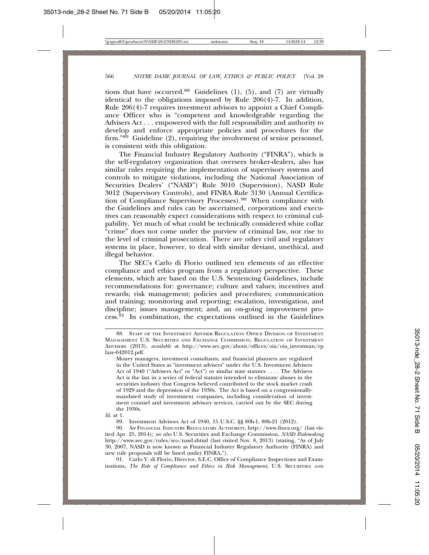tions that have occurred.<sup>88</sup> Guidelines  $(1)$ ,  $(5)$ , and  $(7)$  are virtually identical to the obligations imposed by Rule 206(4)-7. In addition, Rule 206(4)-7 requires investment advisors to appoint a Chief Compliance Officer who is "competent and knowledgeable regarding the Advisers Act . . . empowered with the full responsibility and authority to develop and enforce appropriate policies and procedures for the firm."89 Guideline (2), requiring the involvement of senior personnel, is consistent with this obligation.

The Financial Industry Regulatory Authority ("FINRA"), which is the self-regulatory organization that oversees broker-dealers, also has similar rules requiring the implementation of supervisory systems and controls to mitigate violations, including the National Association of Securities Dealers' ("NASD") Rule 3010 (Supervision), NASD Rule 3012 (Supervisory Controls), and FINRA Rule 3130 (Annual Certification of Compliance Supervisory Processes).90 When compliance with the Guidelines and rules can be ascertained, corporations and executives can reasonably expect considerations with respect to criminal culpability. Yet much of what could be technically considered white collar "crime" does not come under the purview of criminal law, nor rise to the level of criminal prosecution. There are other civil and regulatory systems in place, however, to deal with similar deviant, unethical, and illegal behavior.

The SEC's Carlo di Florio outlined ten elements of an effective compliance and ethics program from a regulatory perspective. These elements, which are based on the U.S. Sentencing Guidelines, include recommendations for: governance; culture and values; incentives and rewards; risk management; policies and procedures; communication and training; monitoring and reporting; escalation, investigation, and discipline; issues management; and, an on-going improvement process.<sup>91</sup> In combination, the expectations outlined in the Guidelines

89. Investment Advisors Act of 1940, 15 U.S.C. §§ 80b-1, 80b-21 (2012).

91. Carlo V. di Florio, Director, S.E.C. Office of Compliance Inspections and Examinations, *The Role of Compliance and Ethics in Risk Management*, U.S. SECURITIES AND

<sup>88.</sup> STAFF OF THE INVESTMENT ADVISER REGULATION OFFICE DIVISION OF INVESTMENT MANAGEMENT U.S. SECURITIES AND EXCHANGE COMMISSION, REGULATION OF INVESTMENT ADVISERS (2013), *available a*t http://www.sec.gov/about/offices/oia/oia\_investman/rp laze-042012.pdf.

Money managers, investment consultants, and financial planners are regulated in the United States as "investment advisers" under the U.S. Investment Advisers Act of 1940 ("Advisers Act" or "Act") or similar state statutes . . . . The Advisers Act is the last in a series of federal statutes intended to eliminate abuses in the securities industry that Congress believed contributed to the stock market crash of 1929 and the depression of the 1930s. The Act is based on a congressionallymandated study of investment companies, including consideration of investment counsel and investment advisory services, carried out by the SEC during the 1930s.

*Id*. at 1.

<sup>90.</sup> *See* FINANCIAL INDUSTRY REGULATORY AUTHORITY, http://www.finra.org/ (last visited Apr. 25, 2014); *see also* U.S. Securities and Exchange Commission, *NASD Rulemaking* http://www.sec.gov/rules/sro/nasd.shtml (last visited Nov. 8, 2013) (stating, "As of July 30, 2007, NASD is now known as Financial Industry Regulatory Authority (FINRA) and new rule proposals will be listed under FINRA.").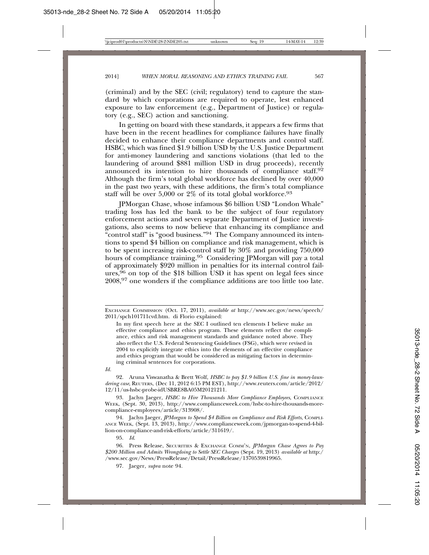(criminal) and by the SEC (civil; regulatory) tend to capture the standard by which corporations are required to operate, lest enhanced exposure to law enforcement (e.g., Department of Justice) or regulatory (e.g., SEC) action and sanctioning.

In getting on board with these standards, it appears a few firms that have been in the recent headlines for compliance failures have finally decided to enhance their compliance departments and control staff. HSBC, which was fined \$1.9 billion USD by the U.S. Justice Department for anti-money laundering and sanctions violations (that led to the laundering of around \$881 million USD in drug proceeds), recently announced its intention to hire thousands of compliance staff.<sup>92</sup> Although the firm's total global workforce has declined by over 40,000 in the past two years, with these additions, the firm's total compliance staff will be over 5,000 or  $2\%$  of its total global workforce.<sup>93</sup>

JPMorgan Chase, whose infamous \$6 billion USD "London Whale" trading loss has led the bank to be the subject of four regulatory enforcement actions and seven separate Department of Justice investigations, also seems to now believe that enhancing its compliance and "control staff" is "good business."<sup>94</sup> The Company announced its intentions to spend \$4 billion on compliance and risk management, which is to be spent increasing risk-control staff by 30% and providing 750,000 hours of compliance training.<sup>95</sup> Considering JPMorgan will pay a total of approximately \$920 million in penalties for its internal control failures,  $96$  on top of the \$18 billion USD it has spent on legal fees since 2008,97 one wonders if the compliance additions are too little too late.

92. Aruna Viswanatha & Brett Wolf, *HSBC to pay \$1.9 billion U.S. fine in money-laundering case*, REUTERS, (Dec 11, 2012 6:15 PM EST), http://www.reuters.com/article/2012/ 12/11/us-hsbc-probe-idUSBRE8BA05M20121211.

93. Jaclyn Jaeger, *HSBC to Hire Thousands More Compliance Employees*, COMPLIANCE WEEK, (Sept. 30, 2013), http://www.complianceweek.com/hsbc-to-hire-thousands-morecompliance-employees/article/313908/.

94. Jaclyn Jaeger, *JPMorgan to Spend \$4 Billion on Compliance and Risk Efforts*, COMPLI-ANCE WEEK, (Sept. 13, 2013), http://www.complianceweek.com/jpmorgan-to-spend-4-billion-on-compliance-and-risk-efforts/article/311619/.

95. *Id*.

97. Jaeger, *supra* note 94.

EXCHANGE COMMISSION (Oct. 17, 2011), *available at* http://www.sec.gov/news/speech/ 2011/spch101711cvd.htm. di Florio explained:

In my first speech here at the SEC I outlined ten elements I believe make an effective compliance and ethics program. These elements reflect the compliance, ethics and risk management standards and guidance noted above. They also reflect the U.S. Federal Sentencing Guidelines (FSG), which were revised in 2004 to explicitly integrate ethics into the elements of an effective compliance and ethics program that would be considered as mitigating factors in determining criminal sentences for corporations.

*Id.*

<sup>96.</sup> Press Release, SECURITIES & EXCHANGE COMM'N, *JPMorgan Chase Agrees to Pay \$200 Million and Admits Wrongdoing to Settle SEC Charges* (Sept. 19, 2013) *available at* http:/ /www.sec.gov/News/PressRelease/Detail/PressRelease/1370539819965.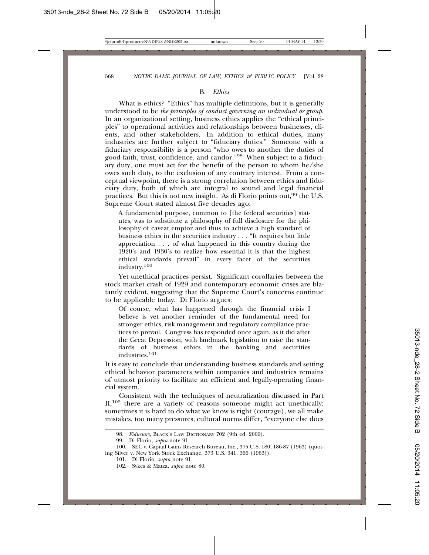#### B. *Ethics*

What is ethics? "Ethics" has multiple definitions, but it is generally understood to be *the principles of conduct governing an individual or group*. In an organizational setting, business ethics applies the "ethical principles" to operational activities and relationships between businesses, clients, and other stakeholders. In addition to ethical duties, many industries are further subject to "fiduciary duties." Someone with a fiduciary responsibility is a person "who owes to another the duties of good faith, trust, confidence, and candor."98 When subject to a fiduciary duty, one must act for the benefit of the person to whom he/she owes such duty, to the exclusion of any contrary interest. From a conceptual viewpoint, there is a strong correlation between ethics and fiduciary duty, both of which are integral to sound and legal financial practices. But this is not new insight. As di Florio points out,<sup>99</sup> the U.S. Supreme Court stated almost five decades ago:

A fundamental purpose, common to [the federal securities] statutes, was to substitute a philosophy of full disclosure for the philosophy of caveat emptor and thus to achieve a high standard of business ethics in the securities industry . . . "It requires but little appreciation . . . of what happened in this country during the 1920's and 1930's to realize how essential it is that the highest ethical standards prevail" in every facet of the securities industry.<sup>100</sup>

Yet unethical practices persist. Significant corollaries between the stock market crash of 1929 and contemporary economic crises are blatantly evident, suggesting that the Supreme Court's concerns continue to be applicable today. Di Florio argues:

Of course, what has happened through the financial crisis I believe is yet another reminder of the fundamental need for stronger ethics, risk management and regulatory compliance practices to prevail. Congress has responded once again, as it did after the Great Depression, with landmark legislation to raise the standards of business ethics in the banking and securities industries.<sup>101</sup>

It is easy to conclude that understanding business standards and setting ethical behavior parameters within companies and industries remains of utmost priority to facilitate an efficient and legally-operating financial system.

Consistent with the techniques of neutralization discussed in Part  $II$ ,<sup>102</sup> there are a variety of reasons someone might act unethically: sometimes it is hard to do what we know is right (courage), we all make mistakes, too many pressures, cultural norms differ, "everyone else does

<sup>98.</sup> *Fiduciary*, BLACK'S LAW DICTIONARY 702 (9th ed. 2009).

<sup>99.</sup> Di Florio, *supra* note 91.

<sup>100.</sup> SEC v. Capital Gains Research Bureau, Inc., 375 U.S. 180, 186-87 (1963) (quoting Silver v. New York Stock Exchange, 373 U.S. 341, 366 (1963)).

<sup>101.</sup> Di Florio, *supra* note 91.

<sup>102.</sup> Sykes & Matza, *supra* note 80.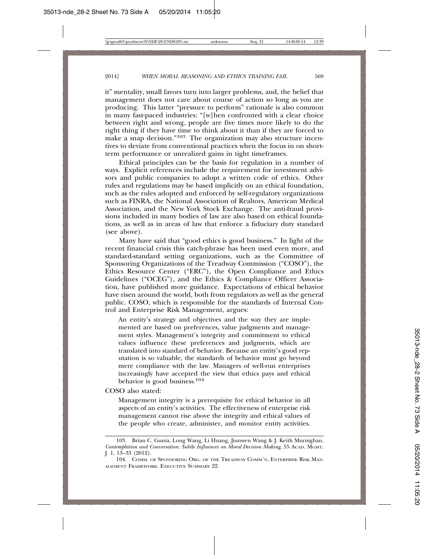it" mentality, small favors turn into larger problems, and, the belief that management does not care about course of action so long as you are producing. This latter "pressure to perform" rationale is also common in many fast-paced industries: "[w]hen confronted with a clear choice between right and wrong, people are five times more likely to do the right thing if they have time to think about it than if they are forced to make a snap decision."103 The organization may also structure incentives to deviate from conventional practices when the focus in on shortterm performance or unrealized gains in tight timeframes.

Ethical principles can be the basis for regulation in a number of ways. Explicit references include the requirement for investment advisors and public companies to adopt a written code of ethics. Other rules and regulations may be based implicitly on an ethical foundation, such as the rules adopted and enforced by self-regulatory organizations such as FINRA, the National Association of Realtors, American Medical Association, and the New York Stock Exchange. The anti-fraud provisions included in many bodies of law are also based on ethical foundations, as well as in areas of law that enforce a fiduciary duty standard (see above).

Many have said that "good ethics is good business." In light of the recent financial crisis this catch-phrase has been used even more, and standard-standard setting organizations, such as the Committee of Sponsoring Organizations of the Treadway Commission ("COSO"), the Ethics Resource Center ("ERC"), the Open Compliance and Ethics Guidelines ("OCEG"), and the Ethics & Compliance Officer Association, have published more guidance. Expectations of ethical behavior have risen around the world, both from regulators as well as the general public. COSO, which is responsible for the standards of Internal Control and Enterprise Risk Management, argues:

An entity's strategy and objectives and the way they are implemented are based on preferences, value judgments and management styles. Management's integrity and commitment to ethical values influence these preferences and judgments, which are translated into standard of behavior. Because an entity's good reputation is so valuable, the standards of behavior must go beyond mere compliance with the law. Managers of well-run enterprises increasingly have accepted the view that ethics pays and ethical behavior is good business.104

COSO also stated:

Management integrity is a prerequisite for ethical behavior in all aspects of an entity's activities. The effectiveness of enterprise risk management cannot rise above the integrity and ethical values of the people who create, administer, and monitor entity activities.

<sup>103.</sup> Brian C. Gunia, Long Wang, Li Huang, Jiunwen Wang & J. Keith Murnighan, *Contemplation and Conversation: Subtle Influences on Moral Decision Making*, 55 ACAD. MGMT. J. 1, 13–33 (2012).

<sup>104.</sup> COMM. OF SPONSORING ORG. OF THE TREADWAY COMM'N, ENTERPRISE RISK MAN-AGEMENT FRAMEWORK: EXECUTIVE SUMMARY 22.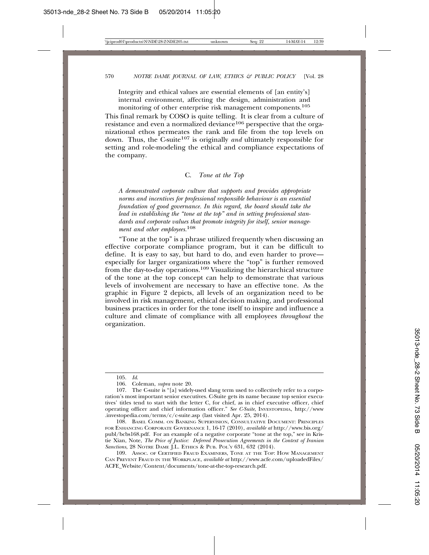Integrity and ethical values are essential elements of [an entity's] internal environment, affecting the design, administration and monitoring of other enterprise risk management components.<sup>105</sup>

This final remark by COSO is quite telling. It is clear from a culture of resistance and even a normalized deviance<sup>106</sup> perspective that the organizational ethos permeates the rank and file from the top levels on down. Thus, the C-suite107 is originally *and* ultimately responsible for setting and role-modeling the ethical and compliance expectations of the company.

#### C. *Tone at the Top*

*A demonstrated corporate culture that supports and provides appropriate norms and incentives for professional responsible behaviour is an essential foundation of good governance. In this regard, the board should take the lead in establishing the "tone at the top" and in setting professional standards and corporate values that promote integrity for itself, senior management and other employees.*<sup>108</sup>

"Tone at the top" is a phrase utilized frequently when discussing an effective corporate compliance program, but it can be difficult to define. It is easy to say, but hard to do, and even harder to prove especially for larger organizations where the "top" is further removed from the day-to-day operations.109 Visualizing the hierarchical structure of the tone at the top concept can help to demonstrate that various levels of involvement are necessary to have an effective tone. As the graphic in Figure 2 depicts, all levels of an organization need to be involved in risk management, ethical decision making, and professional business practices in order for the tone itself to inspire and influence a culture and climate of compliance with all employees *throughout* the organization.

<sup>105.</sup> *Id*.

<sup>106.</sup> Coleman, *supra* note 20.

<sup>107.</sup> The C-suite is "[a] widely-used slang term used to collectively refer to a corporation's most important senior executives. C-Suite gets its name because top senior executives' titles tend to start with the letter C, for chief, as in chief executive officer, chief operating officer and chief information officer." *See C-Suite*, INVESTOPEDIA, http://www .investopedia.com/terms/c/c-suite.asp (last visited Apr. 25, 2014).

<sup>108.</sup> BASEL COMM. ON BANKING SUPERVISION, CONSULTATIVE DOCUMENT: PRINCIPLES FOR ENHANCING CORPORATE GOVERNANCE 1, 16-17 (2010), *available at* http://www.bis.org/ publ/bcbs168.pdf. For an example of a negative corporate "tone at the top," see in Kristie Xian, Note, *The Price of Justice: Deferred Prosecution Agreements in the Context of Iranian Sanctions*, 28 NOTRE DAME J.L. ETHICS & PUB. POL'Y 631, 632 (2014).

<sup>109.</sup> ASSOC. OF CERTIFIED FRAUD EXAMINERS, TONE AT THE TOP: HOW MANAGEMENT CAN PREVENT FRAUD IN THE WORKPLACE, *available at* http://www.acfe.com/uploadedFiles/ ACFE\_Website/Content/documents/tone-at-the-top-research.pdf.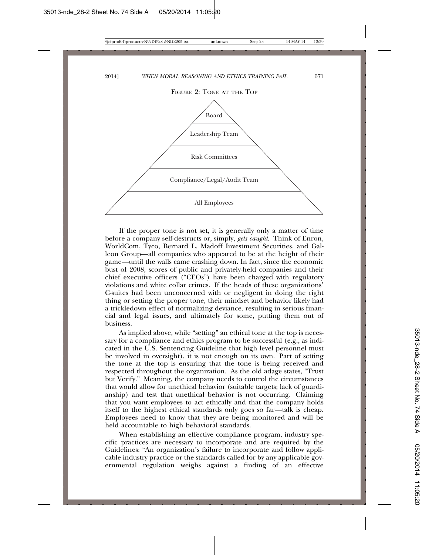FIGURE 2: TONE AT THE TOP



If the proper tone is not set, it is generally only a matter of time before a company self-destructs or, simply, *gets caught*. Think of Enron, WorldCom, Tyco, Bernard L. Madoff Investment Securities, and Galleon Group—all companies who appeared to be at the height of their game—until the walls came crashing down. In fact, since the economic bust of 2008, scores of public and privately-held companies and their chief executive officers ("CEOs") have been charged with regulatory violations and white collar crimes. If the heads of these organizations' C-suites had been unconcerned with or negligent in doing the right thing or setting the proper tone, their mindset and behavior likely had a trickledown effect of normalizing deviance, resulting in serious financial and legal issues, and ultimately for some, putting them out of business.

As implied above, while "setting" an ethical tone at the top is necessary for a compliance and ethics program to be successful (e.g., as indicated in the U.S. Sentencing Guideline that high level personnel must be involved in oversight), it is not enough on its own. Part of setting the tone at the top is ensuring that the tone is being received and respected throughout the organization. As the old adage states, "Trust but Verify." Meaning, the company needs to control the circumstances that would allow for unethical behavior (suitable targets; lack of guardianship) and test that unethical behavior is not occurring. Claiming that you want employees to act ethically and that the company holds itself to the highest ethical standards only goes so far—talk is cheap. Employees need to know that they are being monitored and will be held accountable to high behavioral standards.

When establishing an effective compliance program, industry specific practices are necessary to incorporate and are required by the Guidelines: "An organization's failure to incorporate and follow applicable industry practice or the standards called for by any applicable governmental regulation weighs against a finding of an effective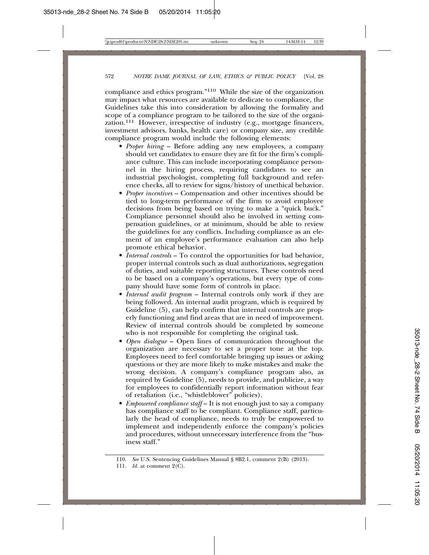compliance and ethics program."110 While the size of the organization may impact what resources are available to dedicate to compliance, the Guidelines take this into consideration by allowing the formality and scope of a compliance program to be tailored to the size of the organization.<sup>111</sup> However, irrespective of industry (e.g., mortgage financers, investment advisors, banks, health care) or company size, any credible compliance program would include the following elements:

- *Proper hiring* Before adding any new employees, a company should vet candidates to ensure they are fit for the firm's compliance culture. This can include incorporating compliance personnel in the hiring process, requiring candidates to see an industrial psychologist, completing full background and reference checks, all to review for signs/history of unethical behavior.
- *Proper incentives* Compensation and other incentives should be tied to long-term performance of the firm to avoid employee decisions from being based on trying to make a "quick buck." Compliance personnel should also be involved in setting compensation guidelines, or at minimum, should be able to review the guidelines for any conflicts. Including compliance as an element of an employee's performance evaluation can also help promote ethical behavior.
- *Internal controls* To control the opportunities for bad behavior, proper internal controls such as dual authorizations, segregation of duties, and suitable reporting structures. These controls need to be based on a company's operations, but every type of company should have some form of controls in place.
- *Internal audit program* Internal controls only work if they are being followed. An internal audit program, which is required by Guideline (5), can help confirm that internal controls are properly functioning and find areas that are in need of improvement. Review of internal controls should be completed by someone who is not responsible for completing the original task.
- *Open dialogue* Open lines of communication throughout the organization are necessary to set a proper tone at the top. Employees need to feel comfortable bringing up issues or asking questions or they are more likely to make mistakes and make the wrong decision. A company's compliance program also, as required by Guideline (5), needs to provide, and publicize, a way for employees to confidentially report information without fear of retaliation (i.e., "whistleblower" policies).
- *Empowered compliance staff* It is not enough just to say a company has compliance staff to be compliant. Compliance staff, particularly the head of compliance, needs to truly be empowered to implement and independently enforce the company's policies and procedures, without unnecessary interference from the "business staff."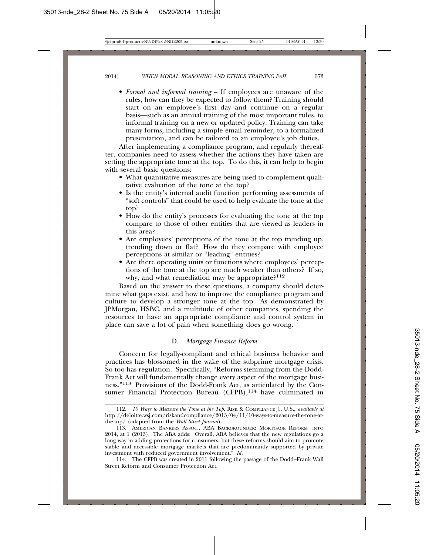• *Formal and informal training* – If employees are unaware of the rules, how can they be expected to follow them? Training should start on an employee's first day and continue on a regular basis—such as an annual training of the most important rules, to informal training on a new or updated policy. Training can take many forms, including a simple email reminder, to a formalized presentation, and can be tailored to an employee's job duties.

After implementing a compliance program, and regularly thereafter, companies need to assess whether the actions they have taken are setting the appropriate tone at the top. To do this, it can help to begin with several basic questions:

- What quantitative measures are being used to complement qualitative evaluation of the tone at the top?
- Is the entity's internal audit function performing assessments of "soft controls" that could be used to help evaluate the tone at the top?
- How do the entity's processes for evaluating the tone at the top compare to those of other entities that are viewed as leaders in this area?
- Are employees' perceptions of the tone at the top trending up, trending down or flat? How do they compare with employee perceptions at similar or "leading" entities?
- Are there operating units or functions where employees' perceptions of the tone at the top are much weaker than others? If so, why, and what remediation may be appropriate?<sup>112</sup>

Based on the answer to these questions, a company should determine what gaps exist, and how to improve the compliance program and culture to develop a stronger tone at the top. As demonstrated by JPMorgan, HSBC, and a multitude of other companies, spending the resources to have an appropriate compliance and control system in place can save a lot of pain when something does go wrong.

#### D. *Mortgage Finance Reform*

Concern for legally-compliant and ethical business behavior and practices has blossomed in the wake of the subprime mortgage crisis. So too has regulation. Specifically, "Reforms stemming from the Dodd-Frank Act will fundamentally change every aspect of the mortgage business."113 Provisions of the Dodd-Frank Act, as articulated by the Consumer Financial Protection Bureau  $(CFPB)$ ,<sup>114</sup> have culminated in

<sup>112.</sup> *10 Ways to Measure the Tone at the Top*, RISK & COMPLIANCE J., U.S., *available at* http://deloitte.wsj.com/riskandcompliance/2013/04/11/10-ways-to-measure-the-tone-atthe-top/ (adapted from the *Wall Street Journal*).

<sup>113.</sup> AMERICAN BANKERS ASSOC., ABA BACKGROUNDER: MORTGAGE REFORM INTO 2014, at 1 (2013). The ABA adds: "Overall, ABA believes that the new regulations go a long way in adding protections for consumers, but these reforms should aim to promote stable and accessible mortgage markets that are predominantly supported by private investment with reduced government involvement." *Id.*

<sup>114.</sup> The CFPB was created in 2011 following the passage of the Dodd–Frank Wall Street Reform and Consumer Protection Act.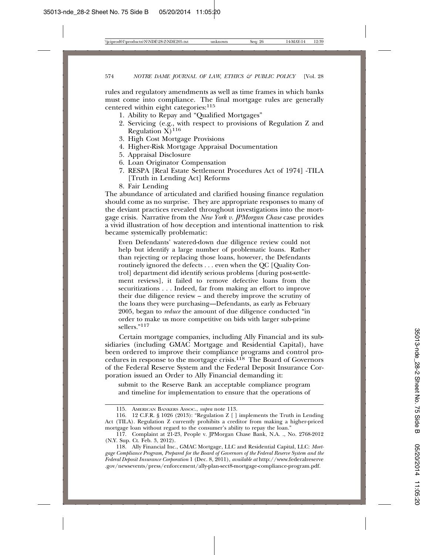rules and regulatory amendments as well as time frames in which banks must come into compliance. The final mortgage rules are generally centered within eight categories:115

- 1. Ability to Repay and "Qualified Mortgages"
- 2. Servicing (e.g., with respect to provisions of Regulation Z and Regulation  $X$ )<sup>116</sup>
- 3. High Cost Mortgage Provisions
- 4. Higher-Risk Mortgage Appraisal Documentation
- 5. Appraisal Disclosure
- 6. Loan Originator Compensation
- 7. RESPA [Real Estate Settlement Procedures Act of 1974] -TILA [Truth in Lending Act] Reforms
- 8. Fair Lending

The abundance of articulated and clarified housing finance regulation should come as no surprise. They are appropriate responses to many of the deviant practices revealed throughout investigations into the mortgage crisis. Narrative from the *New York v. JPMorgan Chase* case provides a vivid illustration of how deception and intentional inattention to risk became systemically problematic:

Even Defendants' watered-down due diligence review could not help but identify a large number of problematic loans. Rather than rejecting or replacing those loans, however, the Defendants routinely ignored the defects . . . even when the QC [Quality Control] department did identify serious problems [during post-settlement reviews], it failed to remove defective loans from the securitizations . . . Indeed, far from making an effort to improve their due diligence review – and thereby improve the scrutiny of the loans they were purchasing—Defendants, as early as February 2005, began to *reduce* the amount of due diligence conducted "in order to make us more competitive on bids with larger sub-prime sellers."<sup>117</sup>

Certain mortgage companies, including Ally Financial and its subsidiaries (including GMAC Mortgage and Residential Capital), have been ordered to improve their compliance programs and control procedures in response to the mortgage crisis.118 The Board of Governors of the Federal Reserve System and the Federal Deposit Insurance Corporation issued an Order to Ally Financial demanding it:

submit to the Reserve Bank an acceptable compliance program and timeline for implementation to ensure that the operations of

<sup>115.</sup> AMERICAN BANKERS ASSOC., *supra* note 113.

<sup>116. 12</sup> C.F.R. § 1026 (2013): "Regulation Z [ ] implements the Truth in Lending Act (TILA). Regulation Z currently prohibits a creditor from making a higher-priced mortgage loan without regard to the consumer's ability to repay the loan."

<sup>117.</sup> Complaint at 21-23, People v. JPMorgan Chase Bank, N.A. ., No. 2768-2012 (N.Y. Sup. Ct. Feb. 3, 2012).

<sup>118.</sup> Ally Financial Inc., GMAC Mortgage, LLC and Residential Capital, LLC: *Mortgage Compliance Program, Prepared for the Board of Governors of the Federal Reserve System and the Federal Deposit Insurance Corporation* 1 (Dec. 8, 2011), *available at* http://www.federalreserve .gov/newsevents/press/enforcement/ally-plan-sect8-mortgage-compliance-program.pdf.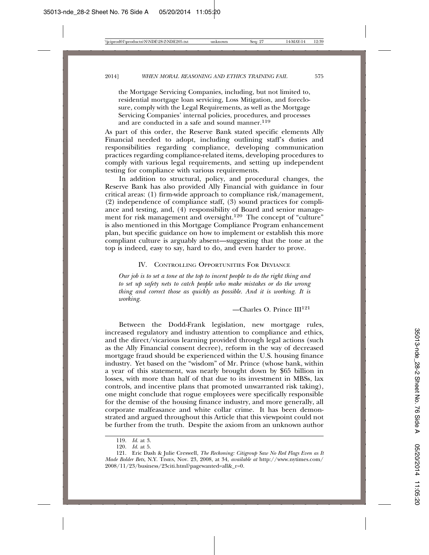the Mortgage Servicing Companies, including, but not limited to, residential mortgage loan servicing, Loss Mitigation, and foreclosure, comply with the Legal Requirements, as well as the Mortgage Servicing Companies' internal policies, procedures, and processes and are conducted in a safe and sound manner.<sup>119</sup>

As part of this order, the Reserve Bank stated specific elements Ally Financial needed to adopt, including outlining staff's duties and responsibilities regarding compliance, developing communication practices regarding compliance-related items, developing procedures to comply with various legal requirements, and setting up independent testing for compliance with various requirements.

In addition to structural, policy, and procedural changes, the Reserve Bank has also provided Ally Financial with guidance in four critical areas: (1) firm-wide approach to compliance risk/management, (2) independence of compliance staff, (3) sound practices for compliance and testing, and, (4) responsibility of Board and senior management for risk management and oversight.<sup>120</sup> The concept of "culture" is also mentioned in this Mortgage Compliance Program enhancement plan, but specific guidance on how to implement or establish this more compliant culture is arguably absent—suggesting that the tone at the top is indeed, easy to say, hard to do, and even harder to prove.

#### IV. CONTROLLING OPPORTUNITIES FOR DEVIANCE

*Our job is to set a tone at the top to incent people to do the right thing and to set up safety nets to catch people who make mistakes or do the wrong thing and correct those as quickly as possible. And it is working. It is working.*

 $-$ Charles O. Prince  $III<sup>121</sup>$ 

Between the Dodd-Frank legislation, new mortgage rules, increased regulatory and industry attention to compliance and ethics, and the direct/vicarious learning provided through legal actions (such as the Ally Financial consent decree), reform in the way of decreased mortgage fraud should be experienced within the U.S. housing finance industry. Yet based on the "wisdom" of Mr. Prince (whose bank, within a year of this statement, was nearly brought down by \$65 billion in losses, with more than half of that due to its investment in MBSs, lax controls, and incentive plans that promoted unwarranted risk taking), one might conclude that rogue employees were specifically responsible for the demise of the housing finance industry, and more generally, all corporate malfeasance and white collar crime. It has been demonstrated and argued throughout this Article that this viewpoint could not be further from the truth. Despite the axiom from an unknown author

<sup>119.</sup> *Id.* at 3.

<sup>120.</sup> *Id.* at 5.

<sup>121.</sup> Eric Dash & Julie Creswell, *The Reckoning: Citigroup Saw No Red Flags Even as It Made Bolder Bets*, N.Y. TIMES, Nov. 23, 2008, at 34, *available at* http://www.nytimes.com/ 2008/11/23/business/23citi.html?pagewanted=all&\_r=0.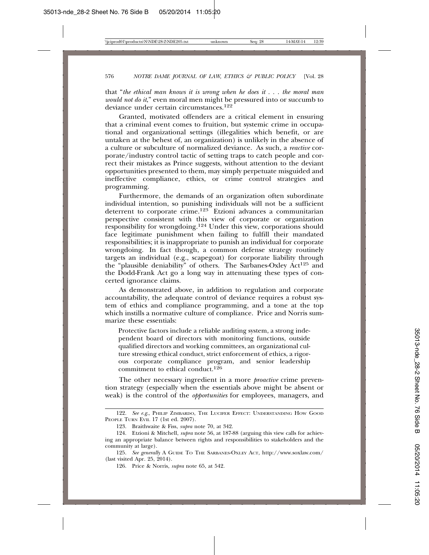that "*the ethical man knows it is wrong when he does it . . . the moral man would not do it*," even moral men might be pressured into or succumb to deviance under certain circumstances.<sup>122</sup>

Granted, motivated offenders are a critical element in ensuring that a criminal event comes to fruition, but systemic crime in occupational and organizational settings (illegalities which benefit, or are untaken at the behest of, an organization) is unlikely in the absence of a culture or subculture of normalized deviance. As such, a *reactive* corporate/industry control tactic of setting traps to catch people and correct their mistakes as Prince suggests, without attention to the deviant opportunities presented to them, may simply perpetuate misguided and ineffective compliance, ethics, or crime control strategies and programming.

Furthermore, the demands of an organization often subordinate individual intention, so punishing individuals will not be a sufficient deterrent to corporate crime.123 Etzioni advances a communitarian perspective consistent with this view of corporate or organization responsibility for wrongdoing.124 Under this view, corporations should face legitimate punishment when failing to fulfill their mandated responsibilities; it is inappropriate to punish an individual for corporate wrongdoing. In fact though, a common defense strategy routinely targets an individual (e.g., scapegoat) for corporate liability through the "plausible deniability" of others. The Sarbanes-Oxley Act125 and the Dodd-Frank Act go a long way in attenuating these types of concerted ignorance claims.

As demonstrated above, in addition to regulation and corporate accountability, the adequate control of deviance requires a robust system of ethics and compliance programming, and a tone at the top which instills a normative culture of compliance. Price and Norris summarize these essentials:

Protective factors include a reliable auditing system, a strong independent board of directors with monitoring functions, outside qualified directors and working committees, an organizational culture stressing ethical conduct, strict enforcement of ethics, a rigorous corporate compliance program, and senior leadership commitment to ethical conduct.<sup>126</sup>

The other necessary ingredient in a more *proactive* crime prevention strategy (especially when the essentials above might be absent or weak) is the control of the *opportunities* for employees, managers, and

125. *See generally* A GUIDE TO THE SARBANES-OXLEY ACT, http://www.soxlaw.com/ (last visited Apr. 25, 2014).

<sup>122.</sup> See e.g., PHILIP ZIMBARDO, THE LUCIFER EFFECT: UNDERSTANDING HOW GOOD PEOPLE TURN EVIL 17 (1st ed. 2007).

<sup>123.</sup> Braithwaite & Fiss, *supra* note 70, at 342.

<sup>124.</sup> Etzioni & Mitchell, *supra* note 56, at 187-88 (arguing this view calls for achieving an appropriate balance between rights and responsibilities to stakeholders and the community at large).

<sup>126.</sup> Price & Norris, *supra* note 65, at 542.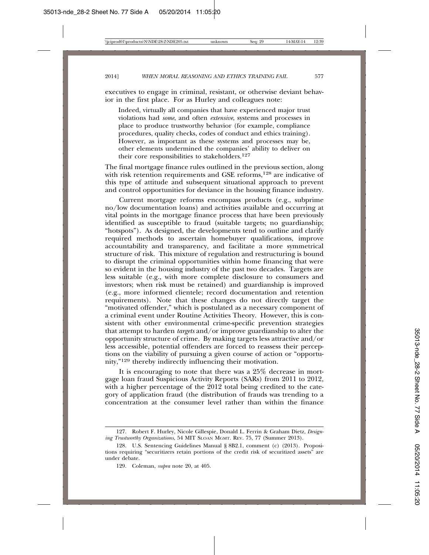executives to engage in criminal, resistant, or otherwise deviant behavior in the first place. For as Hurley and colleagues note:

Indeed, virtually all companies that have experienced major trust violations had *some*, and often *extensive*, systems and processes in place to produce trustworthy behavior (for example, compliance procedures, quality checks, codes of conduct and ethics training). However, as important as these systems and processes may be, other elements undermined the companies' ability to deliver on their core responsibilities to stakeholders.<sup>127</sup>

The final mortgage finance rules outlined in the previous section, along with risk retention requirements and GSE reforms,<sup>128</sup> are indicative of this type of attitude and subsequent situational approach to prevent and control opportunities for deviance in the housing finance industry.

Current mortgage reforms encompass products (e.g., subprime no/low documentation loans) and activities available and occurring at vital points in the mortgage finance process that have been previously identified as susceptible to fraud (suitable targets; no guardianship; "hotspots"). As designed, the developments tend to outline and clarify required methods to ascertain homebuyer qualifications, improve accountability and transparency, and facilitate a more symmetrical structure of risk. This mixture of regulation and restructuring is bound to disrupt the criminal opportunities within home financing that were so evident in the housing industry of the past two decades. Targets are less suitable (e.g., with more complete disclosure to consumers and investors; when risk must be retained) and guardianship is improved (e.g., more informed clientele; record documentation and retention requirements). Note that these changes do not directly target the "motivated offender," which is postulated as a necessary component of a criminal event under Routine Activities Theory. However, this is consistent with other environmental crime-specific prevention strategies that attempt to harden *targets* and/or improve guardianship to alter the opportunity structure of crime. By making targets less attractive and/or less accessible, potential offenders are forced to reassess their perceptions on the viability of pursuing a given course of action or "opportunity,"129 thereby indirectly influencing their motivation.

It is encouraging to note that there was a 25% decrease in mortgage loan fraud Suspicious Activity Reports (SARs) from 2011 to 2012, with a higher percentage of the 2012 total being credited to the category of application fraud (the distribution of frauds was trending to a concentration at the consumer level rather than within the finance

<sup>127.</sup> Robert F. Hurley, Nicole Gillespie, Donald L. Ferrin & Graham Dietz, *Designing Trustworthy Organizations*, 54 MIT SLOAN MGMT. REV. 75, 77 (Summer 2013).

<sup>128.</sup> U.S. Sentencing Guidelines Manual § 8B2.1, comment (c) (2013). Propositions requiring "securitizers retain portions of the credit risk of securitized assets" are under debate.

<sup>129.</sup> Coleman, *supra* note 20, at 405.